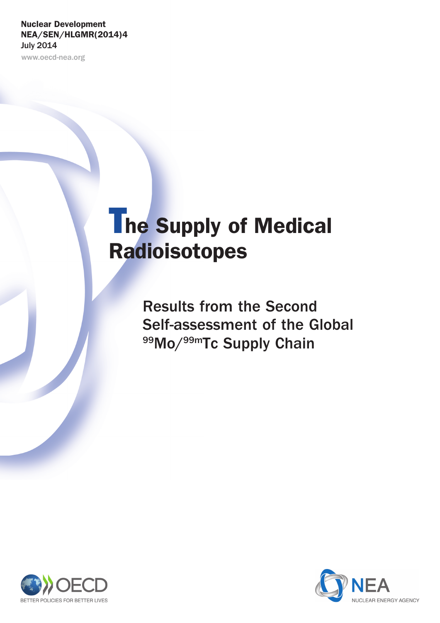# Nuclear Development NEA/SEN/HLGMR(2014)4 July 2014

www.oecd-nea.org

# The Supply of Medical Radioisotopes

Results from the Second Self-assessment of the Global 99Mo/99mTc Supply Chain



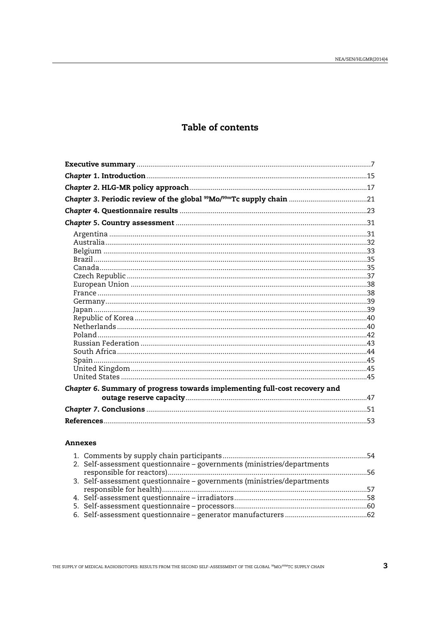# Table of contents

| Chapter 6. Summary of progress towards implementing full-cost recovery and |  |
|----------------------------------------------------------------------------|--|
|                                                                            |  |
|                                                                            |  |
|                                                                            |  |

## **Annexes**

| 2. Self-assessment questionnaire - governments (ministries/departments |  |
|------------------------------------------------------------------------|--|
| 3. Self-assessment questionnaire - governments (ministries/departments |  |
|                                                                        |  |
|                                                                        |  |
|                                                                        |  |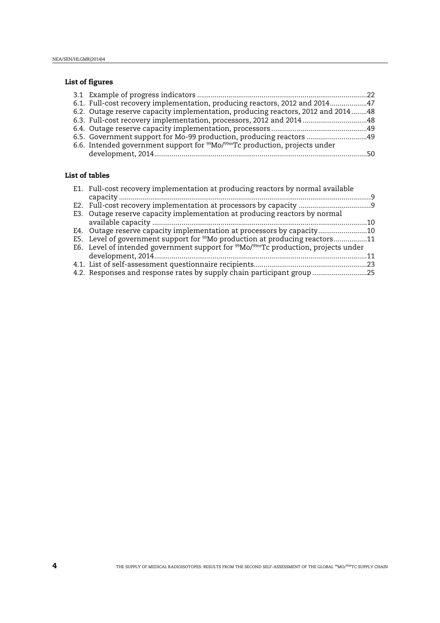# List of figures

| 6.1. Full-cost recovery implementation, producing reactors, 2012 and 201447             |      |
|-----------------------------------------------------------------------------------------|------|
| 6.2. Outage reserve capacity implementation, producing reactors, 2012 and 201448        |      |
| 6.3. Full-cost recovery implementation, processors, 2012 and 2014 48                    |      |
|                                                                                         |      |
| 6.5. Government support for Mo-99 production, producing reactors  49                    |      |
| 6.6. Intended government support for $\rm{^{99}Mo/^{99m}Tc}$ production, projects under |      |
|                                                                                         | - 50 |

## List of tables

| E1. Full-cost recovery implementation at producing reactors by normal available                             |     |
|-------------------------------------------------------------------------------------------------------------|-----|
|                                                                                                             | - 9 |
|                                                                                                             |     |
| E3. Outage reserve capacity implementation at producing reactors by normal                                  |     |
|                                                                                                             | 10  |
| E4. Outage reserve capacity implementation at processors by capacity10                                      |     |
| E5. Level of government support for <sup>99</sup> Mo production at producing reactors11                     |     |
| E6. Level of intended government support for <sup>99</sup> Mo/ <sup>99m</sup> Tc production, projects under |     |
|                                                                                                             |     |
|                                                                                                             |     |
| 4.2. Responses and response rates by supply chain participant group                                         |     |
|                                                                                                             |     |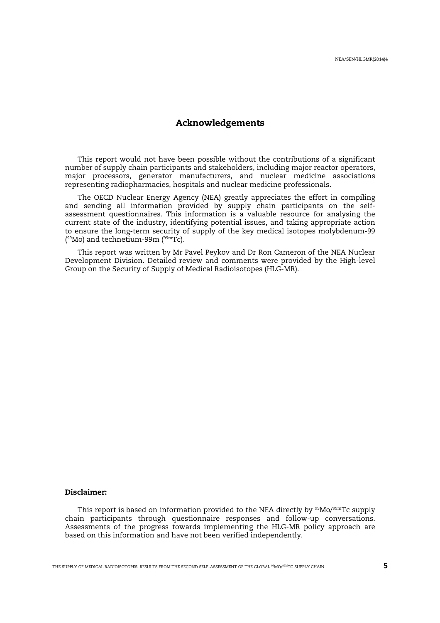# Acknowledgements

This report would not have been possible without the contributions of a significant number of supply chain participants and stakeholders, including major reactor operators, major processors, generator manufacturers, and nuclear medicine associations representing radiopharmacies, hospitals and nuclear medicine professionals.

The OECD Nuclear Energy Agency (NEA) greatly appreciates the effort in compiling and sending all information provided by supply chain participants on the selfassessment questionnaires. This information is a valuable resource for analysing the current state of the industry, identifying potential issues, and taking appropriate action to ensure the long-term security of supply of the key medical isotopes molybdenum-99 ( <sup>99</sup>Mo) and technetium-99m (99mTc).

This report was written by Mr Pavel Peykov and Dr Ron Cameron of the NEA Nuclear Development Division. Detailed review and comments were provided by the High-level Group on the Security of Supply of Medical Radioisotopes (HLG-MR).

#### Disclaimer:

This report is based on information provided to the NEA directly by  $99$ Mo/ $99$ mTc supply chain participants through questionnaire responses and follow-up conversations. Assessments of the progress towards implementing the HLG-MR policy approach are based on this information and have not been verified independently.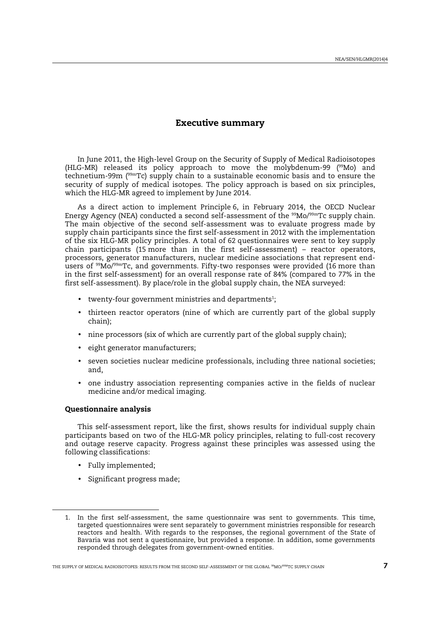## Executive summary

<span id="page-6-0"></span>In June 2011, the High-level Group on the Security of Supply of Medical Radioisotopes (HLG-MR) released its policy approach to move the molybdenum-99 (<sup>99</sup>Mo) and technetium-99m (99mTc) supply chain to a sustainable economic basis and to ensure the security of supply of medical isotopes. The policy approach is based on six principles, which the HLG-MR agreed to implement by June 2014.

As a direct action to implement Principle 6, in February 2014, the OECD Nuclear Energy Agency (NEA) conducted a second self-assessment of the  $99$ Mo/ $99$ mTc supply chain. The main objective of the second self-assessment was to evaluate progress made by supply chain participants since the first self-assessment in 2012 with the implementation of the six HLG-MR policy principles. A total of 62 questionnaires were sent to key supply chain participants (15 more than in the first self-assessment) – reactor operators, processors, generator manufacturers, nuclear medicine associations that represent endusers of <sup>99</sup>Mo/<sup>99m</sup>Tc, and governments. Fifty-two responses were provided (16 more than in the first self-assessment) for an overall response rate of 84% (compared to 77% in the first self-assessment). By place/role in the global supply chain, the NEA surveyed:

- $\bullet$  twenty-four government ministries and departments<sup>1</sup>;
- thirteen reactor operators (nine of which are currently part of the global supply chain);
- nine processors (six of which are currently part of the global supply chain);
- eight generator manufacturers;
- seven societies nuclear medicine professionals, including three national societies; and,
- one industry association representing companies active in the fields of nuclear medicine and/or medical imaging.

## Questionnaire analysis

This self-assessment report, like the first, shows results for individual supply chain participants based on two of the HLG-MR policy principles, relating to full-cost recovery and outage reserve capacity. Progress against these principles was assessed using the following classifications:

• Fully implemented;

l

• Significant progress made;

<sup>1.</sup> In the first self-assessment, the same questionnaire was sent to governments. This time, targeted questionnaires were sent separately to government ministries responsible for research reactors and health. With regards to the responses, the regional government of the State of Bavaria was not sent a questionnaire, but provided a response. In addition, some governments responded through delegates from government-owned entities.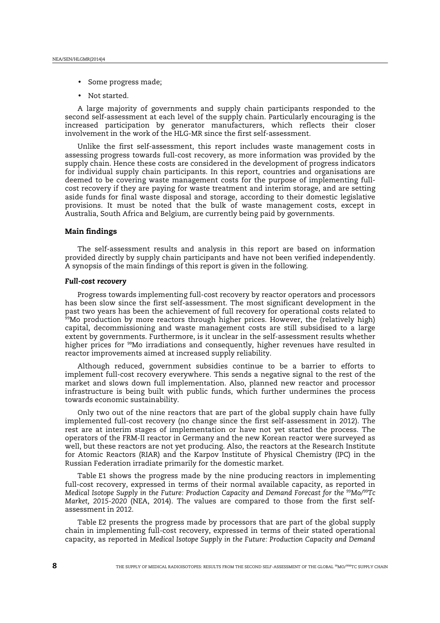- Some progress made;
- Not started.

A large majority of governments and supply chain participants responded to the second self-assessment at each level of the supply chain. Particularly encouraging is the increased participation by generator manufacturers, which reflects their closer involvement in the work of the HLG-MR since the first self-assessment.

Unlike the first self-assessment, this report includes waste management costs in assessing progress towards full-cost recovery, as more information was provided by the supply chain. Hence these costs are considered in the development of progress indicators for individual supply chain participants. In this report, countries and organisations are deemed to be covering waste management costs for the purpose of implementing fullcost recovery if they are paying for waste treatment and interim storage, and are setting aside funds for final waste disposal and storage, according to their domestic legislative provisions. It must be noted that the bulk of waste management costs, except in Australia, South Africa and Belgium, are currently being paid by governments.

## Main findings

The self-assessment results and analysis in this report are based on information provided directly by supply chain participants and have not been verified independently. A synopsis of the main findings of this report is given in the following.

#### *Full-cost recovery*

Progress towards implementing full-cost recovery by reactor operators and processors has been slow since the first self-assessment. The most significant development in the past two years has been the achievement of full recovery for operational costs related to  $^{99}$ Mo production by more reactors through higher prices. However, the (relatively high) capital, decommissioning and waste management costs are still subsidised to a large extent by governments. Furthermore, is it unclear in the self-assessment results whether higher prices for <sup>99</sup>Mo irradiations and consequently, higher revenues have resulted in reactor improvements aimed at increased supply reliability.

Although reduced, government subsidies continue to be a barrier to efforts to implement full-cost recovery everywhere. This sends a negative signal to the rest of the market and slows down full implementation. Also, planned new reactor and processor infrastructure is being built with public funds, which further undermines the process towards economic sustainability.

Only two out of the nine reactors that are part of the global supply chain have fully implemented full-cost recovery (no change since the first self-assessment in 2012). The rest are at interim stages of implementation or have not yet started the process. The operators of the FRM-II reactor in Germany and the new Korean reactor were surveyed as well, but these reactors are not yet producing. Also, the reactors at the Research Institute for Atomic Reactors (RIAR) and the Karpov Institute of Physical Chemistry (IPC) in the Russian Federation irradiate primarily for the domestic market.

Table E1 shows the progress made by the nine producing reactors in implementing full-cost recovery, expressed in terms of their normal available capacity, as reported in *Medical Isotope Supply in the Future: Production Capacity and Demand Forecast for the <sup>99</sup>Mo/<sup>99</sup>Tc Market, 2015-2020* (NEA, 2014). The values are compared to those from the first selfassessment in 2012.

Table E2 presents the progress made by processors that are part of the global supply chain in implementing full-cost recovery, expressed in terms of their stated operational capacity, as reported in *Medical Isotope Supply in the Future: Production Capacity and Demand*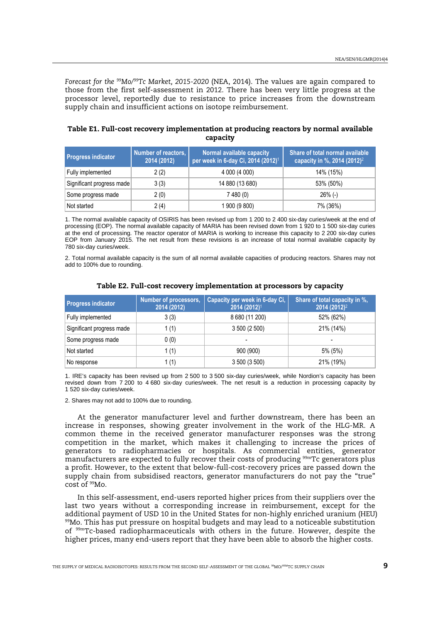<span id="page-8-0"></span>*Forecast for the <sup>99</sup>Mo/<sup>99</sup>Tc Market, 2015-2020* (NEA, 2014). The values are again compared to those from the first self-assessment in 2012. There has been very little progress at the processor level, reportedly due to resistance to price increases from the downstream supply chain and insufficient actions on isotope reimbursement.

| Table E1. Full-cost recovery implementation at producing reactors by normal available |          |  |  |
|---------------------------------------------------------------------------------------|----------|--|--|
|                                                                                       | capacity |  |  |

| <b>Progress indicator</b> | Number of reactors,<br>2014 (2012) | Normal available capacity<br>per week in 6-day Ci, 2014 (2012) <sup>1</sup> | Share of total normal available<br>capacity in %, 2014 (2012) <sup>21</sup> |
|---------------------------|------------------------------------|-----------------------------------------------------------------------------|-----------------------------------------------------------------------------|
| Fully implemented         | 2(2)                               | 4 000 (4 000)                                                               | 14% (15%)                                                                   |
| Significant progress made | 3(3)                               | 14 880 (13 680)                                                             | 53% (50%)                                                                   |
| Some progress made        | 2(0)                               | 7 480 (0)                                                                   | $26\%$ (-)                                                                  |
| Not started               | 2(4)                               | 1 900 (9 800)                                                               | 7% (36%)                                                                    |

1. The normal available capacity of OSIRIS has been revised up from 1 200 to 2 400 six-day curies/week at the end of processing (EOP). The normal available capacity of MARIA has been revised down from 1 920 to 1 500 six-day curies at the end of processing. The reactor operator of MARIA is working to increase this capacity to 2 200 six-day curies EOP from January 2015. The net result from these revisions is an increase of total normal available capacity by 780 six-day curies/week.

2. Total normal available capacity is the sum of all normal available capacities of producing reactors. Shares may not add to 100% due to rounding.

| <b>Progress indicator</b> | Number of processors,<br>2014 (2012) | Capacity per week in 6-day Ci,<br>2014 (2012) <sup>1</sup> | Share of total capacity in %,<br>2014 (2012) <sup>2</sup> |
|---------------------------|--------------------------------------|------------------------------------------------------------|-----------------------------------------------------------|
| Fully implemented         | 3(3)                                 | 8 680 (11 200)                                             | 52% (62%)                                                 |
| Significant progress made | 1(1)                                 | 3 500 (2 500)                                              | 21% (14%)                                                 |
| Some progress made        | 0(0)                                 | $\overline{\phantom{a}}$                                   | -                                                         |
| Not started               | 1(1)                                 | 900 (900)                                                  | 5% (5%)                                                   |
| No response               | (1)                                  | 3 500 (3 500)                                              | 21% (19%)                                                 |

#### Table E2. Full-cost recovery implementation at processors by capacity

1. IRE's capacity has been revised up from 2 500 to 3 500 six-day curies/week, while Nordion's capacity has been revised down from 7 200 to 4 680 six-day curies/week. The net result is a reduction in processing capacity by 1 520 six-day curies/week.

2. Shares may not add to 100% due to rounding.

At the generator manufacturer level and further downstream, there has been an increase in responses, showing greater involvement in the work of the HLG-MR. A common theme in the received generator manufacturer responses was the strong competition in the market, which makes it challenging to increase the prices of generators to radiopharmacies or hospitals. As commercial entities, generator manufacturers are expected to fully recover their costs of producing 99mTc generators plus a profit. However, to the extent that below-full-cost-recovery prices are passed down the supply chain from subsidised reactors, generator manufacturers do not pay the "true" cost of <sup>99</sup>Mo.

In this self-assessment, end-users reported higher prices from their suppliers over the last two years without a corresponding increase in reimbursement, except for the additional payment of USD 10 in the United States for non-highly enriched uranium (HEU)  $99$ Mo. This has put pressure on hospital budgets and may lead to a noticeable substitution of 99mTc-based radiopharmaceuticals with others in the future. However, despite the higher prices, many end-users report that they have been able to absorb the higher costs.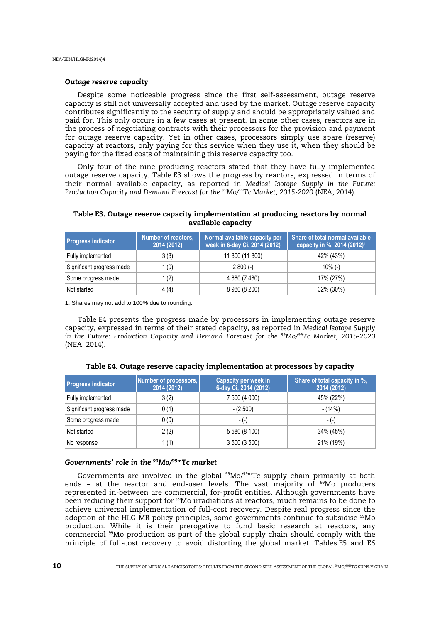## <span id="page-9-0"></span>*Outage reserve capacity*

Despite some noticeable progress since the first self-assessment, outage reserve capacity is still not universally accepted and used by the market. Outage reserve capacity contributes significantly to the security of supply and should be appropriately valued and paid for. This only occurs in a few cases at present. In some other cases, reactors are in the process of negotiating contracts with their processors for the provision and payment for outage reserve capacity. Yet in other cases, processors simply use spare (reserve) capacity at reactors, only paying for this service when they use it, when they should be paying for the fixed costs of maintaining this reserve capacity too.

Only four of the nine producing reactors stated that they have fully implemented outage reserve capacity. Table E3 shows the progress by reactors, expressed in terms of their normal available capacity, as reported in *Medical Isotope Supply in the Future: Production Capacity and Demand Forecast for the <sup>99</sup>Mo/<sup>99</sup>Tc Market, 2015-2020* (NEA, 2014).

## Table E3. Outage reserve capacity implementation at producing reactors by normal available capacity

| <b>Progress indicator</b> | <b>Number of reactors,</b><br>2014 (2012) | Normal available capacity per<br>week in 6-day Ci, 2014 (2012) | Share of total normal available<br>capacity in %, 2014 (2012) <sup>1</sup> |
|---------------------------|-------------------------------------------|----------------------------------------------------------------|----------------------------------------------------------------------------|
| Fully implemented         | 3(3)                                      | 11 800 (11 800)                                                | 42% (43%)                                                                  |
| Significant progress made | 1(0)                                      | $2800(-)$                                                      | $10\%$ (-)                                                                 |
| Some progress made        | 1 (2)                                     | 4 680 (7 480)                                                  | 17% (27%)                                                                  |
| Not started               | 4(4)                                      | 8 980 (8 200)                                                  | 32% (30%)                                                                  |

1. Shares may not add to 100% due to rounding.

Table E4 presents the progress made by processors in implementing outage reserve capacity, expressed in terms of their stated capacity, as reported in *Medical Isotope Supply in the Future: Production Capacity and Demand Forecast for the <sup>99</sup>Mo/<sup>99</sup>Tc Market, 2015-2020*  (NEA, 2014).

| <b>Progress indicator</b> | Number of processors,<br>2014 (2012) | <b>Capacity per week in</b><br>6-day Ci, 2014 (2012) | Share of total capacity in %,<br>2014 (2012) |
|---------------------------|--------------------------------------|------------------------------------------------------|----------------------------------------------|
| Fully implemented         | 3(2)                                 | 7 500 (4 000)                                        | 45% (22%)                                    |
| Significant progress made | 0(1)                                 | $-(2500)$                                            | $-(14%)$                                     |
| Some progress made        | 0(0)                                 | $-(-)$                                               | $-(-)$                                       |
| Not started               | 2(2)                                 | 5 580 (8 100)                                        | 34% (45%)                                    |
| No response               | 1 (1)                                | 3 500 (3 500)                                        | 21% (19%)                                    |

#### Table E4. Outage reserve capacity implementation at processors by capacity

#### *Governments' role in the <sup>99</sup>Mo/99mTc market*

Governments are involved in the global  $99M<sub>0</sub>/99mTc$  supply chain primarily at both ends – at the reactor and end-user levels. The vast majority of  $^{99}$ Mo producers represented in-between are commercial, for-profit entities. Although governments have been reducing their support for <sup>99</sup>Mo irradiations at reactors, much remains to be done to achieve universal implementation of full-cost recovery. Despite real progress since the adoption of the HLG-MR policy principles, some governments continue to subsidise <sup>99</sup>Mo production. While it is their prerogative to fund basic research at reactors, any commercial <sup>99</sup>Mo production as part of the global supply chain should comply with the principle of full-cost recovery to avoid distorting the global market. Tables E5 and E6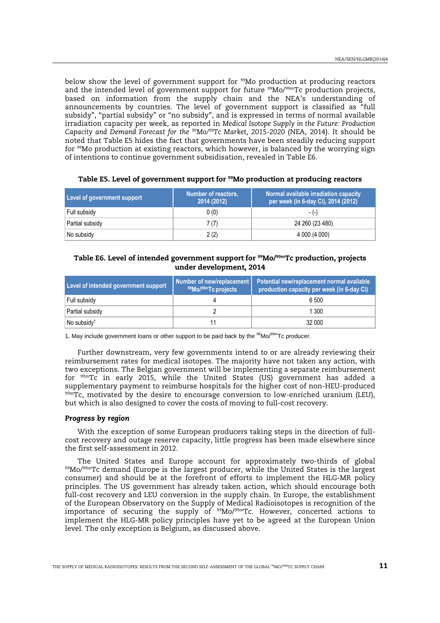<span id="page-10-0"></span>below show the level of government support for <sup>99</sup>Mo production at producing reactors and the intended level of government support for future  $99$ Mo/ $99$ mTc production projects, based on information from the supply chain and the NEA's understanding of announcements by countries. The level of government support is classified as "full subsidy", "partial subsidy" or "no subsidy", and is expressed in terms of normal available irradiation capacity per week, as reported in *Medical Isotope Supply in the Future: Production Capacity and Demand Forecast for the <sup>99</sup>Mo/<sup>99</sup>Tc Market, 2015-2020* (NEA, 2014). It should be noted that Table E5 hides the fact that governments have been steadily reducing support for  $99M$ o production at existing reactors, which however, is balanced by the worrying sign of intentions to continue government subsidisation, revealed in Table E6.

| Level of government support | Number of reactors,<br>2014 (2012) | Normal available irradiation capacity<br>per week (in 6-day Ci), 2014 (2012) |
|-----------------------------|------------------------------------|------------------------------------------------------------------------------|
| Full subsidy                | 0(0)                               | $-(-)$                                                                       |
| Partial subsidy             | 7(7)                               | 24 260 (23 480)                                                              |
| No subsidy                  | 2(2)                               | 4 000 (4 000)                                                                |

## Table E5. Level of government support for <sup>99</sup>Mo production at producing reactors

## Table E6. Level of intended government support for <sup>99</sup>Mo/99mTc production, projects under development, 2014

| Level of intended government support | Number of new/replacement<br>99Mo/99mTc projects | Potential new/replacement normal available<br>production capacity per week (in 6-day Ci) |
|--------------------------------------|--------------------------------------------------|------------------------------------------------------------------------------------------|
| Full subsidy                         |                                                  | 6 500                                                                                    |
| Partial subsidy                      |                                                  | 1 300                                                                                    |
| No subsidy <sup>1</sup>              |                                                  | 32 000                                                                                   |

1. May include government loans or other support to be paid back by the <sup>99</sup>Mo/<sup>99m</sup>Tc producer.

Further downstream, very few governments intend to or are already reviewing their reimbursement rates for medical isotopes. The majority have not taken any action, with two exceptions. The Belgian government will be implementing a separate reimbursement for 99mTc in early 2015, while the United States (US) government has added a supplementary payment to reimburse hospitals for the higher cost of non-HEU-produced  $99mTc$ , motivated by the desire to encourage conversion to low-enriched uranium (LEU), but which is also designed to cover the costs of moving to full-cost recovery.

## *Progress by region*

With the exception of some European producers taking steps in the direction of fullcost recovery and outage reserve capacity, little progress has been made elsewhere since the first self-assessment in 2012.

The United States and Europe account for approximately two-thirds of global <sup>99</sup>Mo/99mTc demand (Europe is the largest producer, while the United States is the largest consumer) and should be at the forefront of efforts to implement the HLG-MR policy principles. The US government has already taken action, which should encourage both full-cost recovery and LEU conversion in the supply chain. In Europe, the establishment of the European Observatory on the Supply of Medical Radioisotopes is recognition of the importance of securing the supply of <sup>99</sup>Mo/<sup>99m</sup>Tc. However, concerted actions to implement the HLG-MR policy principles have yet to be agreed at the European Union level. The only exception is Belgium, as discussed above.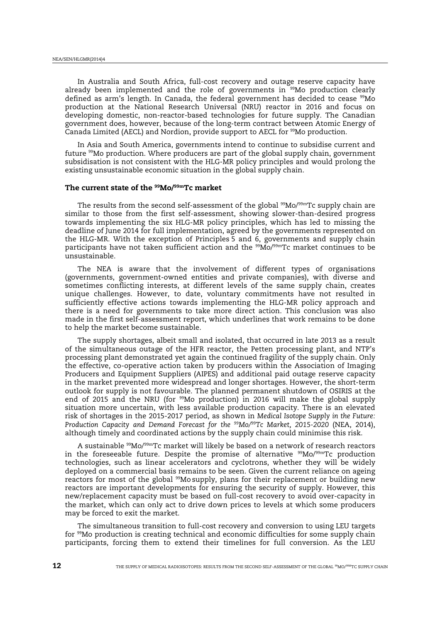In Australia and South Africa, full-cost recovery and outage reserve capacity have already been implemented and the role of governments in <sup>99</sup>Mo production clearly defined as arm's length. In Canada, the federal government has decided to cease <sup>99</sup>Mo production at the National Research Universal (NRU) reactor in 2016 and focus on developing domestic, non-reactor-based technologies for future supply. The Canadian government does, however, because of the long-term contract between Atomic Energy of Canada Limited (AECL) and Nordion, provide support to AECL for <sup>99</sup>Mo production.

In Asia and South America, governments intend to continue to subsidise current and future <sup>99</sup>Mo production. Where producers are part of the global supply chain, government subsidisation is not consistent with the HLG-MR policy principles and would prolong the existing unsustainable economic situation in the global supply chain.

#### The current state of the <sup>99</sup>Mo/<sup>99m</sup>Tc market

The results from the second self-assessment of the global  $\frac{99 \text{ MO}}{99 \text{ MO}}$  supply chain are similar to those from the first self-assessment, showing slower-than-desired progress towards implementing the six HLG-MR policy principles, which has led to missing the deadline of June 2014 for full implementation, agreed by the governments represented on the HLG-MR. With the exception of Principles 5 and 6, governments and supply chain participants have not taken sufficient action and the <sup>99</sup>Mo/99mTc market continues to be unsustainable.

The NEA is aware that the involvement of different types of organisations (governments, government-owned entities and private companies), with diverse and sometimes conflicting interests, at different levels of the same supply chain, creates unique challenges. However, to date, voluntary commitments have not resulted in sufficiently effective actions towards implementing the HLG-MR policy approach and there is a need for governments to take more direct action. This conclusion was also made in the first self-assessment report, which underlines that work remains to be done to help the market become sustainable.

The supply shortages, albeit small and isolated, that occurred in late 2013 as a result of the simultaneous outage of the HFR reactor, the Petten processing plant, and NTP's processing plant demonstrated yet again the continued fragility of the supply chain. Only the effective, co-operative action taken by producers within the Association of Imaging Producers and Equipment Suppliers (AIPES) and additional paid outage reserve capacity in the market prevented more widespread and longer shortages. However, the short-term outlook for supply is not favourable. The planned permanent shutdown of OSIRIS at the end of 2015 and the NRU (for <sup>99</sup>Mo production) in 2016 will make the global supply situation more uncertain, with less available production capacity. There is an elevated risk of shortages in the 2015-2017 period, as shown in *Medical Isotope Supply in the Future: Production Capacity and Demand Forecast for the <sup>99</sup>Mo/<sup>99</sup>Tc Market, 2015-2020* (NEA, 2014), although timely and coordinated actions by the supply chain could minimise this risk.

A sustainable <sup>99</sup>Mo/99mTc market will likely be based on a network of research reactors in the foreseeable future. Despite the promise of alternative  $99$ Mo/ $99$ mTc production technologies, such as linear accelerators and cyclotrons, whether they will be widely deployed on a commercial basis remains to be seen. Given the current reliance on ageing reactors for most of the global <sup>99</sup>Mo supply, plans for their replacement or building new reactors are important developments for ensuring the security of supply. However, this new/replacement capacity must be based on full-cost recovery to avoid over-capacity in the market, which can only act to drive down prices to levels at which some producers may be forced to exit the market.

The simultaneous transition to full-cost recovery and conversion to using LEU targets for <sup>99</sup>Mo production is creating technical and economic difficulties for some supply chain participants, forcing them to extend their timelines for full conversion. As the LEU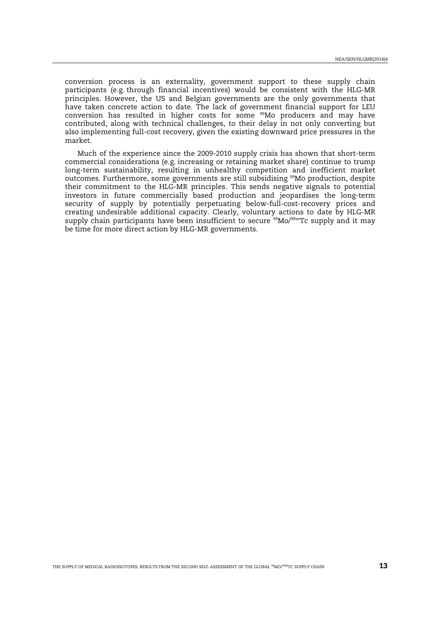conversion process is an externality, government support to these supply chain participants (e.g. through financial incentives) would be consistent with the HLG-MR principles. However, the US and Belgian governments are the only governments that have taken concrete action to date. The lack of government financial support for LEU conversion has resulted in higher costs for some <sup>99</sup>Mo producers and may have contributed, along with technical challenges, to their delay in not only converting but also implementing full-cost recovery, given the existing downward price pressures in the market.

Much of the experience since the 2009-2010 supply crisis has shown that short-term commercial considerations (e.g. increasing or retaining market share) continue to trump long-term sustainability, resulting in unhealthy competition and inefficient market outcomes. Furthermore, some governments are still subsidising <sup>99</sup>Mo production, despite their commitment to the HLG-MR principles. This sends negative signals to potential investors in future commercially based production and jeopardises the long-term security of supply by potentially perpetuating below-full-cost-recovery prices and creating undesirable additional capacity. Clearly, voluntary actions to date by HLG-MR supply chain participants have been insufficient to secure  $^{99}\mathrm{Mo}/^{99\mathrm{m}}$ Tc supply and it may be time for more direct action by HLG-MR governments.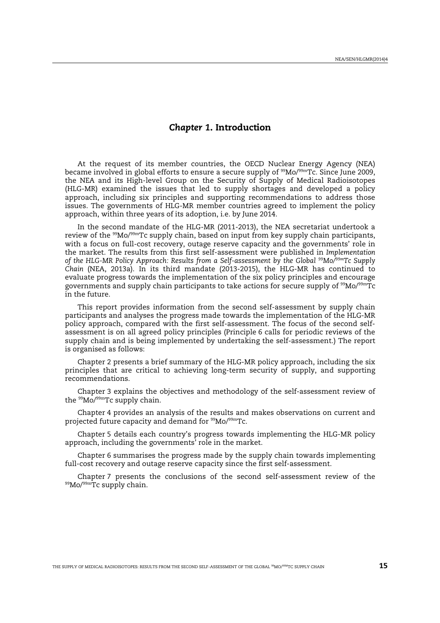# *Chapter 1*. Introduction

<span id="page-14-0"></span>At the request of its member countries, the OECD Nuclear Energy Agency (NEA) became involved in global efforts to ensure a secure supply of <sup>99</sup>Mo/99mTc. Since June 2009, the NEA and its High-level Group on the Security of Supply of Medical Radioisotopes (HLG-MR) examined the issues that led to supply shortages and developed a policy approach, including six principles and supporting recommendations to address those issues. The governments of HLG-MR member countries agreed to implement the policy approach, within three years of its adoption, i.e. by June 2014.

In the second mandate of the HLG-MR (2011-2013), the NEA secretariat undertook a review of the <sup>99</sup>Mo/99mTc supply chain, based on input from key supply chain participants, with a focus on full-cost recovery, outage reserve capacity and the governments' role in the market. The results from this first self-assessment were published in *Implementation of the HLG-MR Policy Approach: Results from a Self-assessment by the Global <sup>99</sup>Mo/99mTc Supply Chain* (NEA, 2013a). In its third mandate (2013-2015), the HLG-MR has continued to evaluate progress towards the implementation of the six policy principles and encourage governments and supply chain participants to take actions for secure supply of <sup>99</sup>Mo/<sup>99m</sup>Tc in the future.

This report provides information from the second self-assessment by supply chain participants and analyses the progress made towards the implementation of the HLG-MR policy approach, compared with the first self-assessment. The focus of the second selfassessment is on all agreed policy principles (Principle 6 calls for periodic reviews of the supply chain and is being implemented by undertaking the self-assessment.) The report is organised as follows:

Chapter 2 presents a brief summary of the HLG-MR policy approach, including the six principles that are critical to achieving long-term security of supply, and supporting recommendations.

Chapter 3 explains the objectives and methodology of the self-assessment review of the <sup>99</sup>Mo/99mTc supply chain.

Chapter 4 provides an analysis of the results and makes observations on current and projected future capacity and demand for <sup>99</sup>Mo/99mTc.

Chapter 5 details each country's progress towards implementing the HLG-MR policy approach, including the governments' role in the market.

Chapter 6 summarises the progress made by the supply chain towards implementing full-cost recovery and outage reserve capacity since the first self-assessment.

Chapter 7 presents the conclusions of the second self-assessment review of the 99Mo/99mTc supply chain.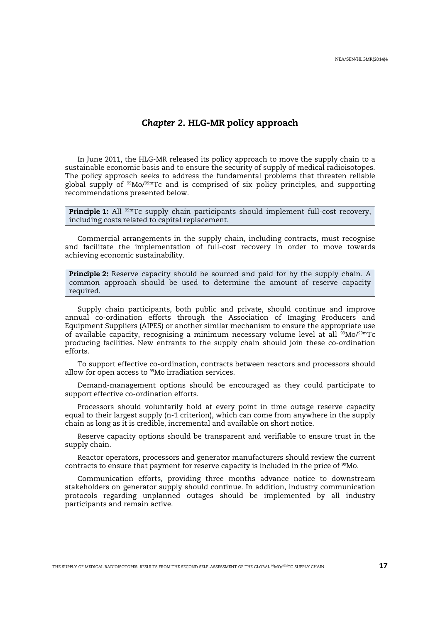## *Chapter 2*. HLG-MR policy approach

<span id="page-16-0"></span>In June 2011, the HLG-MR released its policy approach to move the supply chain to a sustainable economic basis and to ensure the security of supply of medical radioisotopes. The policy approach seeks to address the fundamental problems that threaten reliable global supply of <sup>99</sup>Mo/99mTc and is comprised of six policy principles, and supporting recommendations presented below.

**Principle 1:** All  $99m$ Tc supply chain participants should implement full-cost recovery, including costs related to capital replacement.

Commercial arrangements in the supply chain, including contracts, must recognise and facilitate the implementation of full-cost recovery in order to move towards achieving economic sustainability.

Principle 2: Reserve capacity should be sourced and paid for by the supply chain. A common approach should be used to determine the amount of reserve capacity required.

Supply chain participants, both public and private, should continue and improve annual co-ordination efforts through the Association of Imaging Producers and Equipment Suppliers (AIPES) or another similar mechanism to ensure the appropriate use of available capacity, recognising a minimum necessary volume level at all  $^{99}$ Mo/ $^{99m}$ Tc producing facilities. New entrants to the supply chain should join these co-ordination efforts.

To support effective co-ordination, contracts between reactors and processors should allow for open access to <sup>99</sup>Mo irradiation services.

Demand-management options should be encouraged as they could participate to support effective co-ordination efforts.

Processors should voluntarily hold at every point in time outage reserve capacity equal to their largest supply (n-1 criterion), which can come from anywhere in the supply chain as long as it is credible, incremental and available on short notice.

Reserve capacity options should be transparent and verifiable to ensure trust in the supply chain.

Reactor operators, processors and generator manufacturers should review the current contracts to ensure that payment for reserve capacity is included in the price of <sup>99</sup>Mo.

Communication efforts, providing three months advance notice to downstream stakeholders on generator supply should continue. In addition, industry communication protocols regarding unplanned outages should be implemented by all industry participants and remain active.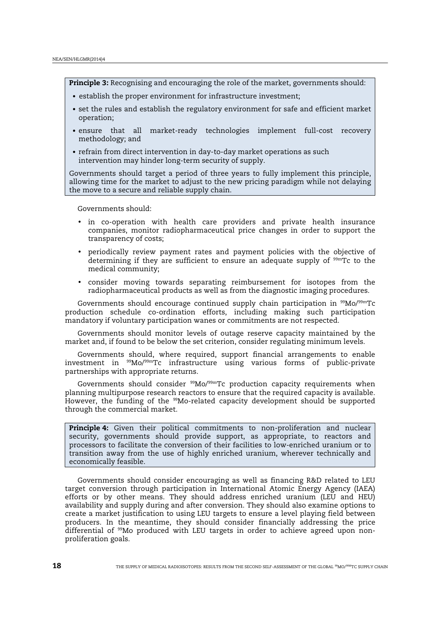Principle 3: Recognising and encouraging the role of the market, governments should:

- establish the proper environment for infrastructure investment;
- set the rules and establish the regulatory environment for safe and efficient market operation;
- ensure that all market-ready technologies implement full-cost recovery methodology; and
- refrain from direct intervention in day-to-day market operations as such intervention may hinder long-term security of supply.

Governments should target a period of three years to fully implement this principle, allowing time for the market to adjust to the new pricing paradigm while not delaying the move to a secure and reliable supply chain.

Governments should:

- in co-operation with health care providers and private health insurance companies, monitor radiopharmaceutical price changes in order to support the transparency of costs;
- periodically review payment rates and payment policies with the objective of determining if they are sufficient to ensure an adequate supply of  $99mTc$  to the medical community;
- consider moving towards separating reimbursement for isotopes from the radiopharmaceutical products as well as from the diagnostic imaging procedures.

Governments should encourage continued supply chain participation in <sup>99</sup>Mo/99mTc production schedule co-ordination efforts, including making such participation mandatory if voluntary participation wanes or commitments are not respected.

Governments should monitor levels of outage reserve capacity maintained by the market and, if found to be below the set criterion, consider regulating minimum levels.

Governments should, where required, support financial arrangements to enable investment in <sup>99</sup>Mo/99mTc infrastructure using various forms of public-private partnerships with appropriate returns.

Governments should consider <sup>99</sup>Mo/<sup>99m</sup>Tc production capacity requirements when planning multipurpose research reactors to ensure that the required capacity is available. However, the funding of the <sup>99</sup>Mo-related capacity development should be supported through the commercial market.

Principle 4: Given their political commitments to non-proliferation and nuclear security, governments should provide support, as appropriate, to reactors and processors to facilitate the conversion of their facilities to low-enriched uranium or to transition away from the use of highly enriched uranium, wherever technically and economically feasible.

Governments should consider encouraging as well as financing R&D related to LEU target conversion through participation in International Atomic Energy Agency (IAEA) efforts or by other means. They should address enriched uranium (LEU and HEU) availability and supply during and after conversion. They should also examine options to create a market justification to using LEU targets to ensure a level playing field between producers. In the meantime, they should consider financially addressing the price differential of 99Mo produced with LEU targets in order to achieve agreed upon nonproliferation goals.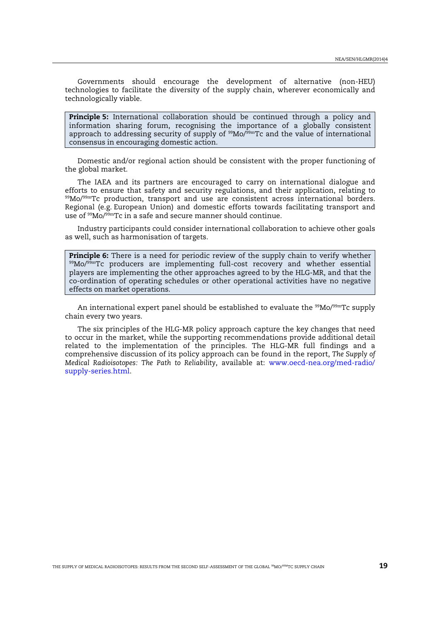Governments should encourage the development of alternative (non-HEU) technologies to facilitate the diversity of the supply chain, wherever economically and technologically viable.

Principle 5: International collaboration should be continued through a policy and information sharing forum, recognising the importance of a globally consistent approach to addressing security of supply of  $99$ Mo/ $99$ mTc and the value of international consensus in encouraging domestic action.

Domestic and/or regional action should be consistent with the proper functioning of the global market.

The IAEA and its partners are encouraged to carry on international dialogue and efforts to ensure that safety and security regulations, and their application, relating to <sup>99</sup>Mo/99mTc production, transport and use are consistent across international borders. Regional (e.g. European Union) and domestic efforts towards facilitating transport and use of <sup>99</sup>Mo/99mTc in a safe and secure manner should continue.

Industry participants could consider international collaboration to achieve other goals as well, such as harmonisation of targets.

Principle 6: There is a need for periodic review of the supply chain to verify whether  $99Mo/99mTc$  producers are implementing full-cost recovery and whether essential players are implementing the other approaches agreed to by the HLG-MR, and that the co-ordination of operating schedules or other operational activities have no negative effects on market operations.

An international expert panel should be established to evaluate the  $99M_0/99mTc$  supply chain every two years.

The six principles of the HLG-MR policy approach capture the key changes that need to occur in the market, while the supporting recommendations provide additional detail related to the implementation of the principles. The HLG-MR full findings and a comprehensive discussion of its policy approach can be found in the report, *The Supply of Medical Radioisotopes: The Path to Reliability*, available at: www.oecd-nea.org/med-radio/ supply-series.html.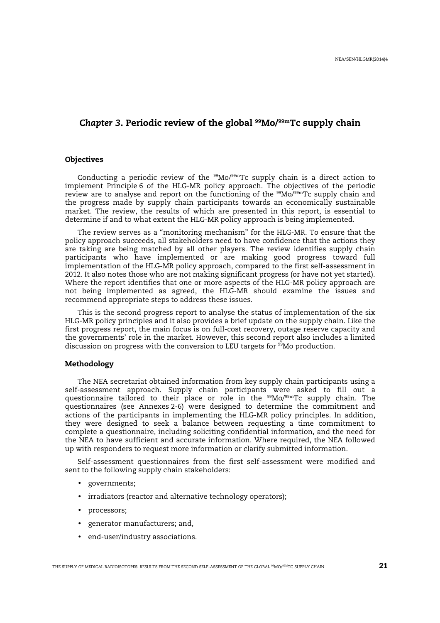# <span id="page-20-0"></span>*Chapter 3*. Periodic review of the global <sup>99</sup>Mo/99mTc supply chain

## **Objectives**

Conducting a periodic review of the  $\frac{99}{90}$ Mo/ $\frac{99}{90}$ Tc supply chain is a direct action to implement Principle 6 of the HLG-MR policy approach. The objectives of the periodic review are to analyse and report on the functioning of the  $\rm{^{99}Mo/^{99m}Tc}$  supply chain and the progress made by supply chain participants towards an economically sustainable market. The review, the results of which are presented in this report, is essential to determine if and to what extent the HLG-MR policy approach is being implemented.

The review serves as a "monitoring mechanism" for the HLG-MR. To ensure that the policy approach succeeds, all stakeholders need to have confidence that the actions they are taking are being matched by all other players. The review identifies supply chain participants who have implemented or are making good progress toward full implementation of the HLG-MR policy approach, compared to the first self-assessment in 2012. It also notes those who are not making significant progress (or have not yet started). Where the report identifies that one or more aspects of the HLG-MR policy approach are not being implemented as agreed, the HLG-MR should examine the issues and recommend appropriate steps to address these issues.

This is the second progress report to analyse the status of implementation of the six HLG-MR policy principles and it also provides a brief update on the supply chain. Like the first progress report, the main focus is on full-cost recovery, outage reserve capacity and the governments' role in the market. However, this second report also includes a limited discussion on progress with the conversion to LEU targets for <sup>99</sup>Mo production.

## Methodology

The NEA secretariat obtained information from key supply chain participants using a self-assessment approach. Supply chain participants were asked to fill out a questionnaire tailored to their place or role in the  $^{99}\text{Mo}/^{99\text{m}}$ Tc supply chain. The questionnaires (see Annexes 2-6) were designed to determine the commitment and actions of the participants in implementing the HLG-MR policy principles. In addition, they were designed to seek a balance between requesting a time commitment to complete a questionnaire, including soliciting confidential information, and the need for the NEA to have sufficient and accurate information. Where required, the NEA followed up with responders to request more information or clarify submitted information.

Self-assessment questionnaires from the first self-assessment were modified and sent to the following supply chain stakeholders:

- governments;
- irradiators (reactor and alternative technology operators);
- processors;
- generator manufacturers; and,
- end-user/industry associations.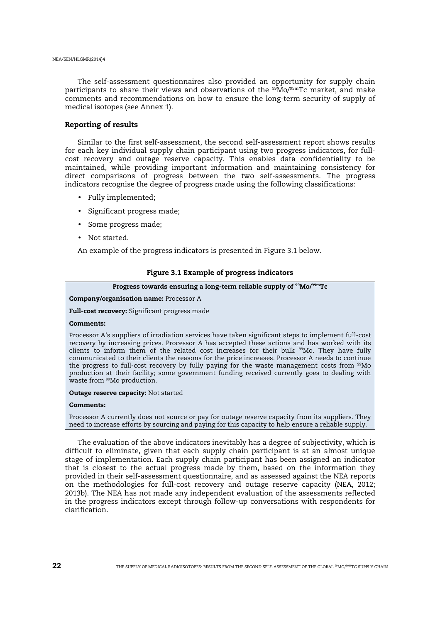<span id="page-21-0"></span>The self-assessment questionnaires also provided an opportunity for supply chain participants to share their views and observations of the  $99M_0/99m$ Tc market, and make comments and recommendations on how to ensure the long-term security of supply of medical isotopes (see Annex 1).

## Reporting of results

Similar to the first self-assessment, the second self-assessment report shows results for each key individual supply chain participant using two progress indicators, for fullcost recovery and outage reserve capacity. This enables data confidentiality to be maintained, while providing important information and maintaining consistency for direct comparisons of progress between the two self-assessments. The progress indicators recognise the degree of progress made using the following classifications:

- Fully implemented;
- Significant progress made;
- Some progress made;
- Not started.

An example of the progress indicators is presented in Figure 3.1 below.

## Figure 3.1 Example of progress indicators

## Progress towards ensuring a long-term reliable supply of <sup>99</sup>Mo/<sup>99m</sup>Tc

Company/organisation name: Processor A

Full-cost recovery: Significant progress made

#### Comments:

Processor A's suppliers of irradiation services have taken significant steps to implement full-cost recovery by increasing prices. Processor A has accepted these actions and has worked with its clients to inform them of the related cost increases for their bulk <sup>99</sup>Mo. They have fully communicated to their clients the reasons for the price increases. Processor A needs to continue the progress to full-cost recovery by fully paying for the waste management costs from <sup>99</sup>Mo production at their facility; some government funding received currently goes to dealing with waste from <sup>99</sup>Mo production.

Outage reserve capacity: Not started

#### Comments:

Processor A currently does not source or pay for outage reserve capacity from its suppliers. They need to increase efforts by sourcing and paying for this capacity to help ensure a reliable supply.

The evaluation of the above indicators inevitably has a degree of subjectivity, which is difficult to eliminate, given that each supply chain participant is at an almost unique stage of implementation. Each supply chain participant has been assigned an indicator that is closest to the actual progress made by them, based on the information they provided in their self-assessment questionnaire, and as assessed against the NEA reports on the methodologies for full-cost recovery and outage reserve capacity (NEA, 2012; 2013b). The NEA has not made any independent evaluation of the assessments reflected in the progress indicators except through follow-up conversations with respondents for clarification.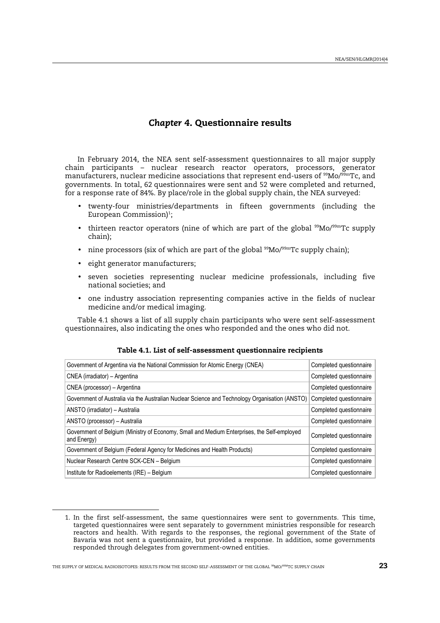# *Chapter 4*. Questionnaire results

<span id="page-22-0"></span>In February 2014, the NEA sent self-assessment questionnaires to all major supply chain participants – nuclear research reactor operators, processors, generator manufacturers, nuclear medicine associations that represent end-users of  $^{99}$ Mo/ $^{99}$ mTc, and governments. In total, 62 questionnaires were sent and 52 were completed and returned, for a response rate of 84%. By place/role in the global supply chain, the NEA surveyed:

- twenty-four ministries/departments in fifteen governments (including the European Commission)<sup>1</sup>;
- thirteen reactor operators (nine of which are part of the global  $99Mo/99mTc$  supply chain);
- nine processors (six of which are part of the global  $99$ Mo/ $99$ mTc supply chain);
- eight generator manufacturers;

l

- seven societies representing nuclear medicine professionals, including five national societies; and
- one industry association representing companies active in the fields of nuclear medicine and/or medical imaging.

Table 4.1 shows a list of all supply chain participants who were sent self-assessment questionnaires, also indicating the ones who responded and the ones who did not.

|  |  |  |  |  |  | Table 4.1. List of self-assessment questionnaire recipients |  |  |  |  |  |
|--|--|--|--|--|--|-------------------------------------------------------------|--|--|--|--|--|
|--|--|--|--|--|--|-------------------------------------------------------------|--|--|--|--|--|

| Government of Argentina via the National Commission for Atomic Energy (CNEA)                               | Completed questionnaire |
|------------------------------------------------------------------------------------------------------------|-------------------------|
| CNEA (irradiator) - Argentina                                                                              | Completed questionnaire |
| CNEA (processor) - Argentina                                                                               | Completed questionnaire |
| Government of Australia via the Australian Nuclear Science and Technology Organisation (ANSTO)             | Completed questionnaire |
| ANSTO (irradiator) - Australia                                                                             | Completed questionnaire |
| ANSTO (processor) - Australia                                                                              | Completed questionnaire |
| Government of Belgium (Ministry of Economy, Small and Medium Enterprises, the Self-employed<br>and Energy) | Completed questionnaire |
| Government of Belgium (Federal Agency for Medicines and Health Products)                                   | Completed questionnaire |
| Nuclear Research Centre SCK-CEN - Belgium                                                                  | Completed questionnaire |
| Institute for Radioelements (IRE) - Belgium                                                                | Completed questionnaire |
|                                                                                                            |                         |

<sup>1.</sup> In the first self-assessment, the same questionnaires were sent to governments. This time, targeted questionnaires were sent separately to government ministries responsible for research reactors and health. With regards to the responses, the regional government of the State of Bavaria was not sent a questionnaire, but provided a response. In addition, some governments responded through delegates from government-owned entities.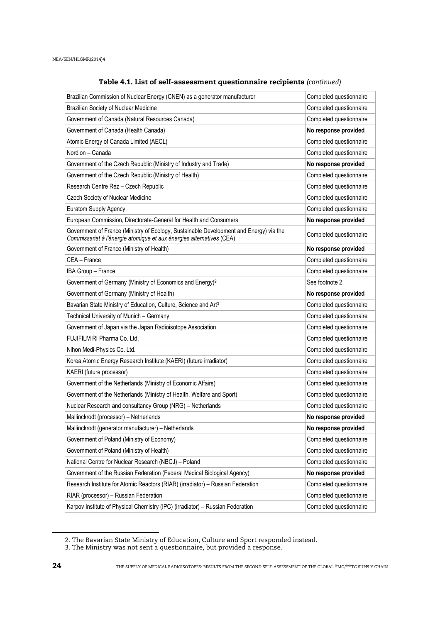| Brazilian Commission of Nuclear Energy (CNEN) as a generator manufacturer                                                                                      | Completed questionnaire |
|----------------------------------------------------------------------------------------------------------------------------------------------------------------|-------------------------|
| Brazilian Society of Nuclear Medicine                                                                                                                          | Completed questionnaire |
| Government of Canada (Natural Resources Canada)                                                                                                                | Completed questionnaire |
| Government of Canada (Health Canada)                                                                                                                           | No response provided    |
| Atomic Energy of Canada Limited (AECL)                                                                                                                         | Completed questionnaire |
| Nordion - Canada                                                                                                                                               | Completed questionnaire |
| Government of the Czech Republic (Ministry of Industry and Trade)                                                                                              | No response provided    |
| Government of the Czech Republic (Ministry of Health)                                                                                                          | Completed questionnaire |
| Research Centre Rez - Czech Republic                                                                                                                           | Completed questionnaire |
| Czech Society of Nuclear Medicine                                                                                                                              | Completed questionnaire |
| Euratom Supply Agency                                                                                                                                          | Completed questionnaire |
| European Commission, Directorate-General for Health and Consumers                                                                                              | No response provided    |
| Government of France (Ministry of Ecology, Sustainable Development and Energy) via the<br>Commissariat à l'énergie atomique et aux énergies alternatives (CEA) | Completed questionnaire |
| Government of France (Ministry of Health)                                                                                                                      | No response provided    |
| CEA - France                                                                                                                                                   | Completed questionnaire |
| IBA Group - France                                                                                                                                             | Completed questionnaire |
| Government of Germany (Ministry of Economics and Energy) <sup>2</sup>                                                                                          | See footnote 2.         |
| Government of Germany (Ministry of Health)                                                                                                                     | No response provided    |
| Bavarian State Ministry of Education, Culture, Science and Art <sup>3</sup>                                                                                    | Completed questionnaire |
| Technical University of Munich - Germany                                                                                                                       | Completed questionnaire |
| Government of Japan via the Japan Radioisotope Association                                                                                                     | Completed questionnaire |
| FUJIFILM RI Pharma Co. Ltd.                                                                                                                                    | Completed questionnaire |
| Nihon Medi-Physics Co. Ltd.                                                                                                                                    | Completed questionnaire |
| Korea Atomic Energy Research Institute (KAERI) (future irradiator)                                                                                             | Completed questionnaire |
| KAERI (future processor)                                                                                                                                       | Completed questionnaire |
| Government of the Netherlands (Ministry of Economic Affairs)                                                                                                   | Completed questionnaire |
| Government of the Netherlands (Ministry of Health, Welfare and Sport)                                                                                          | Completed questionnaire |
| Nuclear Research and consultancy Group (NRG) - Netherlands                                                                                                     | Completed questionnaire |
| Mallinckrodt (processor) - Netherlands                                                                                                                         | No response provided    |
| Mallinckrodt (generator manufacturer) - Netherlands                                                                                                            | No response provided    |
| Government of Poland (Ministry of Economy)                                                                                                                     | Completed questionnaire |
| Government of Poland (Ministry of Health)                                                                                                                      | Completed questionnaire |
| National Centre for Nuclear Research (NBCJ) - Poland                                                                                                           | Completed questionnaire |
| Government of the Russian Federation (Federal Medical Biological Agency)                                                                                       | No response provided    |
| Research Institute for Atomic Reactors (RIAR) (irradiator) - Russian Federation                                                                                | Completed questionnaire |
| RIAR (processor) - Russian Federation                                                                                                                          | Completed questionnaire |
| Karpov Institute of Physical Chemistry (IPC) (irradiator) - Russian Federation                                                                                 | Completed questionnaire |

Table 4.1. List of self-assessment questionnaire recipients *(continued)*

2. The Bavarian State Ministry of Education, Culture and Sport responded instead.

 $\overline{a}$ 

<sup>3.</sup> The Ministry was not sent a questionnaire, but provided a response.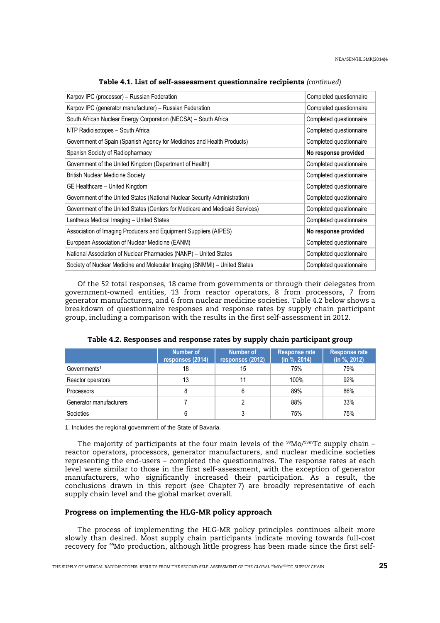<span id="page-24-0"></span>

| Karpov IPC (processor) - Russian Federation                                  | Completed questionnaire |
|------------------------------------------------------------------------------|-------------------------|
| Karpov IPC (generator manufacturer) - Russian Federation                     | Completed questionnaire |
| South African Nuclear Energy Corporation (NECSA) - South Africa              | Completed questionnaire |
| NTP Radioisotopes - South Africa                                             | Completed questionnaire |
| Government of Spain (Spanish Agency for Medicines and Health Products)       | Completed questionnaire |
| Spanish Society of Radiopharmacy                                             | No response provided    |
| Government of the United Kingdom (Department of Health)                      | Completed questionnaire |
| <b>British Nuclear Medicine Society</b>                                      | Completed questionnaire |
| GE Healthcare - United Kingdom                                               | Completed questionnaire |
| Government of the United States (National Nuclear Security Administration)   | Completed questionnaire |
| Government of the United States (Centers for Medicare and Medicaid Services) | Completed questionnaire |
| Lantheus Medical Imaging - United States                                     | Completed questionnaire |
| Association of Imaging Producers and Equipment Suppliers (AIPES)             | No response provided    |
| European Association of Nuclear Medicine (EANM)                              | Completed questionnaire |
| National Association of Nuclear Pharmacies (NANP) - United States            | Completed questionnaire |
| Society of Nuclear Medicine and Molecular Imaging (SNMMI) - United States    | Completed questionnaire |

Table 4.1. List of self-assessment questionnaire recipients *(continued)*

Of the 52 total responses, 18 came from governments or through their delegates from government-owned entities, 13 from reactor operators, 8 from processors, 7 from generator manufacturers, and 6 from nuclear medicine societies. Table 4.2 below shows a breakdown of questionnaire responses and response rates by supply chain participant group, including a comparison with the results in the first self-assessment in 2012.

|                          | <b>Number of</b><br>responses (2014) | <b>Number of</b><br>responses (2012) | <b>Response rate</b><br>(in %, 2014) | <b>Response rate</b><br>(in %, 2012) |
|--------------------------|--------------------------------------|--------------------------------------|--------------------------------------|--------------------------------------|
| Governments <sup>1</sup> | 18                                   | 15                                   | 75%                                  | 79%                                  |
| Reactor operators        | 13                                   |                                      | 100%                                 | 92%                                  |
| Processors               |                                      | 6                                    | 89%                                  | 86%                                  |
| Generator manufacturers  |                                      |                                      | 88%                                  | 33%                                  |
| Societies                |                                      | ົ                                    | 75%                                  | 75%                                  |

Table 4.2. Responses and response rates by supply chain participant group

1. Includes the regional government of the State of Bavaria.

The majority of participants at the four main levels of the  $99M0/99mTc$  supply chain – reactor operators, processors, generator manufacturers, and nuclear medicine societies representing the end-users – completed the questionnaires. The response rates at each level were similar to those in the first self-assessment, with the exception of generator manufacturers, who significantly increased their participation. As a result, the conclusions drawn in this report (see Chapter 7) are broadly representative of each supply chain level and the global market overall.

## Progress on implementing the HLG-MR policy approach

The process of implementing the HLG-MR policy principles continues albeit more slowly than desired. Most supply chain participants indicate moving towards full-cost recovery for 99Mo production, although little progress has been made since the first self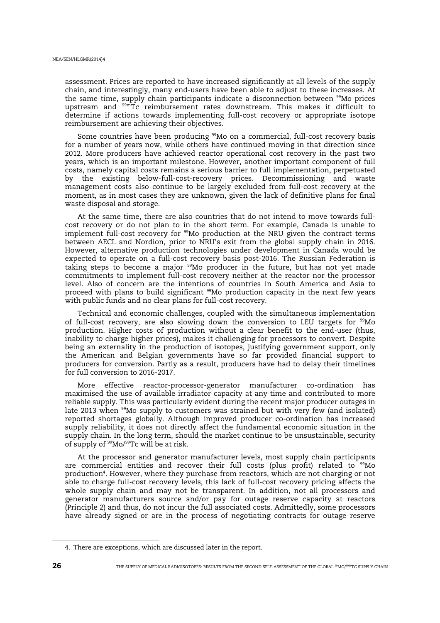assessment. Prices are reported to have increased significantly at all levels of the supply chain, and interestingly, many end-users have been able to adjust to these increases. At the same time, supply chain participants indicate a disconnection between <sup>99</sup>Mo prices upstream and 99mTc reimbursement rates downstream. This makes it difficult to determine if actions towards implementing full-cost recovery or appropriate isotope reimbursement are achieving their objectives.

Some countries have been producing <sup>99</sup>Mo on a commercial, full-cost recovery basis for a number of years now, while others have continued moving in that direction since 2012. More producers have achieved reactor operational cost recovery in the past two years, which is an important milestone. However, another important component of full costs, namely capital costs remains a serious barrier to full implementation, perpetuated by the existing below-full-cost-recovery prices. Decommissioning and waste management costs also continue to be largely excluded from full-cost recovery at the moment, as in most cases they are unknown, given the lack of definitive plans for final waste disposal and storage.

At the same time, there are also countries that do not intend to move towards fullcost recovery or do not plan to in the short term. For example, Canada is unable to implement full-cost recovery for  $99M$ o production at the NRU given the contract terms between AECL and Nordion, prior to NRU's exit from the global supply chain in 2016. However, alternative production technologies under development in Canada would be expected to operate on a full-cost recovery basis post-2016. The Russian Federation is taking steps to become a major <sup>99</sup>Mo producer in the future, but has not yet made commitments to implement full-cost recovery neither at the reactor nor the processor level. Also of concern are the intentions of countries in South America and Asia to proceed with plans to build significant  $99M$ o production capacity in the next few years with public funds and no clear plans for full-cost recovery.

Technical and economic challenges, coupled with the simultaneous implementation of full-cost recovery, are also slowing down the conversion to LEU targets for  $99M\text{o}$ production. Higher costs of production without a clear benefit to the end-user (thus, inability to charge higher prices), makes it challenging for processors to convert. Despite being an externality in the production of isotopes, justifying government support, only the American and Belgian governments have so far provided financial support to producers for conversion. Partly as a result, producers have had to delay their timelines for full conversion to 2016-2017.

More effective reactor-processor-generator manufacturer co-ordination has maximised the use of available irradiator capacity at any time and contributed to more reliable supply. This was particularly evident during the recent major producer outages in late 2013 when <sup>99</sup>Mo supply to customers was strained but with very few (and isolated) reported shortages globally. Although improved producer co-ordination has increased supply reliability, it does not directly affect the fundamental economic situation in the supply chain. In the long term, should the market continue to be unsustainable, security of supply of  $99Mo/99Tc$  will be at risk.

At the processor and generator manufacturer levels, most supply chain participants are commercial entities and recover their full costs (plus profit) related to  $99$ Mo production<sup>4</sup>. However, where they purchase from reactors, which are not charging or not able to charge full-cost recovery levels, this lack of full-cost recovery pricing affects the whole supply chain and may not be transparent. In addition, not all processors and generator manufacturers source and/or pay for outage reserve capacity at reactors (Principle 2) and thus, do not incur the full associated costs. Admittedly, some processors have already signed or are in the process of negotiating contracts for outage reserve

 $\overline{a}$ 

<sup>4.</sup> There are exceptions, which are discussed later in the report.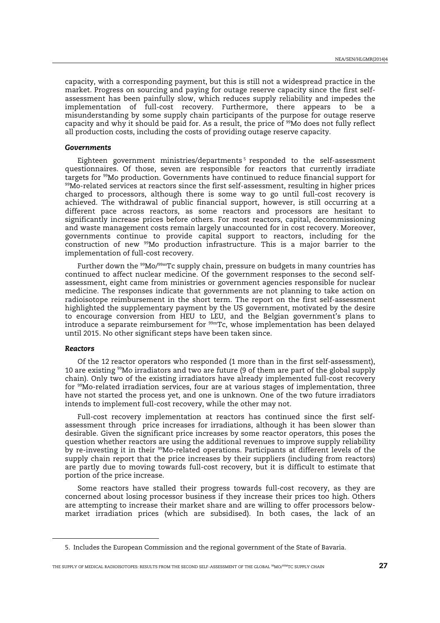capacity, with a corresponding payment, but this is still not a widespread practice in the market. Progress on sourcing and paying for outage reserve capacity since the first selfassessment has been painfully slow, which reduces supply reliability and impedes the implementation of full-cost recovery. Furthermore, there appears to be a misunderstanding by some supply chain participants of the purpose for outage reserve capacity and why it should be paid for. As a result, the price of <sup>99</sup>Mo does not fully reflect all production costs, including the costs of providing outage reserve capacity.

#### *Governments*

Eighteen government ministries/departments<sup>5</sup> responded to the self-assessment questionnaires. Of those, seven are responsible for reactors that currently irradiate targets for <sup>99</sup>Mo production. Governments have continued to reduce financial support for <sup>99</sup>Mo-related services at reactors since the first self-assessment, resulting in higher prices charged to processors, although there is some way to go until full-cost recovery is achieved. The withdrawal of public financial support, however, is still occurring at a different pace across reactors, as some reactors and processors are hesitant to significantly increase prices before others. For most reactors, capital, decommissioning and waste management costs remain largely unaccounted for in cost recovery. Moreover, governments continue to provide capital support to reactors, including for the construction of new <sup>99</sup>Mo production infrastructure. This is a major barrier to the implementation of full-cost recovery.

Further down the <sup>99</sup>Mo/<sup>99m</sup>Tc supply chain, pressure on budgets in many countries has continued to affect nuclear medicine. Of the government responses to the second selfassessment, eight came from ministries or government agencies responsible for nuclear medicine. The responses indicate that governments are not planning to take action on radioisotope reimbursement in the short term. The report on the first self-assessment highlighted the supplementary payment by the US government, motivated by the desire to encourage conversion from HEU to LEU, and the Belgian government's plans to introduce a separate reimbursement for <sup>99m</sup>Tc, whose implementation has been delayed until 2015. No other significant steps have been taken since.

#### *Reactors*

l

Of the 12 reactor operators who responded (1 more than in the first self-assessment), 10 are existing <sup>99</sup>Mo irradiators and two are future (9 of them are part of the global supply chain). Only two of the existing irradiators have already implemented full-cost recovery for <sup>99</sup>Mo-related irradiation services, four are at various stages of implementation, three have not started the process yet, and one is unknown. One of the two future irradiators intends to implement full-cost recovery, while the other may not.

Full-cost recovery implementation at reactors has continued since the first selfassessment through price increases for irradiations, although it has been slower than desirable. Given the significant price increases by some reactor operators, this poses the question whether reactors are using the additional revenues to improve supply reliability by re-investing it in their <sup>99</sup>Mo-related operations. Participants at different levels of the supply chain report that the price increases by their suppliers (including from reactors) are partly due to moving towards full-cost recovery, but it is difficult to estimate that portion of the price increase.

Some reactors have stalled their progress towards full-cost recovery, as they are concerned about losing processor business if they increase their prices too high. Others are attempting to increase their market share and are willing to offer processors belowmarket irradiation prices (which are subsidised). In both cases, the lack of an

<sup>5.</sup> Includes the European Commission and the regional government of the State of Bavaria.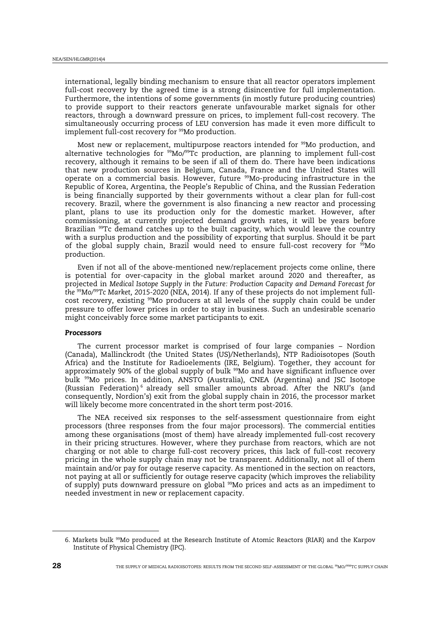international, legally binding mechanism to ensure that all reactor operators implement full-cost recovery by the agreed time is a strong disincentive for full implementation. Furthermore, the intentions of some governments (in mostly future producing countries) to provide support to their reactors generate unfavourable market signals for other reactors, through a downward pressure on prices, to implement full-cost recovery. The simultaneously occurring process of LEU conversion has made it even more difficult to implement full-cost recovery for <sup>99</sup>Mo production.

Most new or replacement, multipurpose reactors intended for <sup>99</sup>Mo production, and alternative technologies for  $99M0/99Tc$  production, are planning to implement full-cost recovery, although it remains to be seen if all of them do. There have been indications that new production sources in Belgium, Canada, France and the United States will operate on a commercial basis. However, future <sup>99</sup>Mo-producing infrastructure in the Republic of Korea, Argentina, the People's Republic of China, and the Russian Federation is being financially supported by their governments without a clear plan for full-cost recovery. Brazil, where the government is also financing a new reactor and processing plant, plans to use its production only for the domestic market. However, after commissioning, at currently projected demand growth rates, it will be years before Brazilian <sup>99</sup>Tc demand catches up to the built capacity, which would leave the country with a surplus production and the possibility of exporting that surplus. Should it be part of the global supply chain, Brazil would need to ensure full-cost recovery for  $^{99}$ Mo production.

Even if not all of the above-mentioned new/replacement projects come online, there is potential for over-capacity in the global market around 2020 and thereafter, as projected in *Medical Isotope Supply in the Future: Production Capacity and Demand Forecast for the 99Mo/99Tc Market, 2015-2020* (NEA, 2014). If any of these projects do not implement fullcost recovery, existing <sup>99</sup>Mo producers at all levels of the supply chain could be under pressure to offer lower prices in order to stay in business. Such an undesirable scenario might conceivably force some market participants to exit.

#### *Processors*

The current processor market is comprised of four large companies – Nordion (Canada), Mallinckrodt (the United States (US)/Netherlands), NTP Radioisotopes (South Africa) and the Institute for Radioelements (IRE, Belgium). Together, they account for approximately 90% of the global supply of bulk <sup>99</sup>Mo and have significant influence over bulk <sup>99</sup>Mo prices. In addition, ANSTO (Australia), CNEA (Argentina) and JSC Isotope (Russian Federation)<sup>6</sup> already sell smaller amounts abroad. After the NRU's (and consequently, Nordion's) exit from the global supply chain in 2016, the processor market will likely become more concentrated in the short term post-2016.

The NEA received six responses to the self-assessment questionnaire from eight processors (three responses from the four major processors). The commercial entities among these organisations (most of them) have already implemented full-cost recovery in their pricing structures. However, where they purchase from reactors, which are not charging or not able to charge full-cost recovery prices, this lack of full-cost recovery pricing in the whole supply chain may not be transparent. Additionally, not all of them maintain and/or pay for outage reserve capacity. As mentioned in the section on reactors, not paying at all or sufficiently for outage reserve capacity (which improves the reliability of supply) puts downward pressure on global <sup>99</sup>Mo prices and acts as an impediment to needed investment in new or replacement capacity.

l

<sup>6.</sup> Markets bulk <sup>99</sup>Mo produced at the Research Institute of Atomic Reactors (RIAR) and the Karpov Institute of Physical Chemistry (IPC).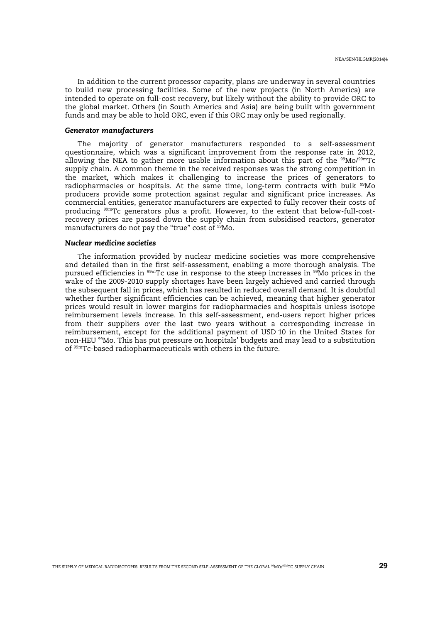In addition to the current processor capacity, plans are underway in several countries to build new processing facilities. Some of the new projects (in North America) are intended to operate on full-cost recovery, but likely without the ability to provide ORC to the global market. Others (in South America and Asia) are being built with government funds and may be able to hold ORC, even if this ORC may only be used regionally.

#### *Generator manufacturers*

The majority of generator manufacturers responded to a self-assessment questionnaire, which was a significant improvement from the response rate in 2012, allowing the NEA to gather more usable information about this part of the  $99M_0/99mTc$ supply chain. A common theme in the received responses was the strong competition in the market, which makes it challenging to increase the prices of generators to radiopharmacies or hospitals. At the same time, long-term contracts with bulk <sup>99</sup>Mo producers provide some protection against regular and significant price increases. As commercial entities, generator manufacturers are expected to fully recover their costs of producing 99mTc generators plus a profit. However, to the extent that below-full-costrecovery prices are passed down the supply chain from subsidised reactors, generator manufacturers do not pay the "true" cost of <sup>99</sup>Mo.

#### *Nuclear medicine societies*

The information provided by nuclear medicine societies was more comprehensive and detailed than in the first self-assessment, enabling a more thorough analysis. The pursued efficiencies in 99mTc use in response to the steep increases in <sup>99</sup>Mo prices in the wake of the 2009-2010 supply shortages have been largely achieved and carried through the subsequent fall in prices, which has resulted in reduced overall demand. It is doubtful whether further significant efficiencies can be achieved, meaning that higher generator prices would result in lower margins for radiopharmacies and hospitals unless isotope reimbursement levels increase. In this self-assessment, end-users report higher prices from their suppliers over the last two years without a corresponding increase in reimbursement, except for the additional payment of USD 10 in the United States for non-HEU <sup>99</sup>Mo. This has put pressure on hospitals' budgets and may lead to a substitution of 99mTc-based radiopharmaceuticals with others in the future.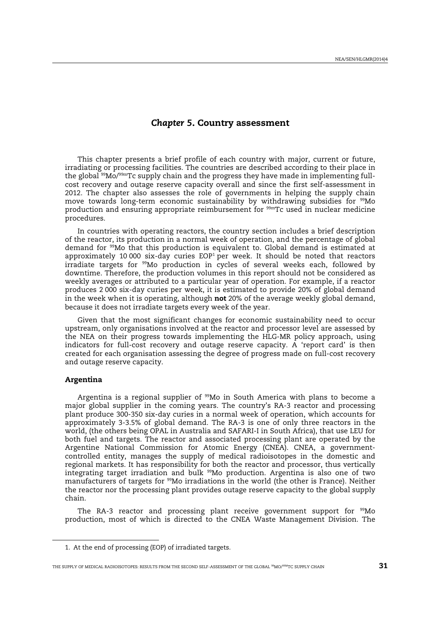## *Chapter 5*. Country assessment

<span id="page-30-0"></span>This chapter presents a brief profile of each country with major, current or future, irradiating or processing facilities. The countries are described according to their place in the global  $99M_0/99mTc$  supply chain and the progress they have made in implementing fullcost recovery and outage reserve capacity overall and since the first self-assessment in 2012. The chapter also assesses the role of governments in helping the supply chain move towards long-term economic sustainability by withdrawing subsidies for <sup>99</sup>Mo production and ensuring appropriate reimbursement for 99mTc used in nuclear medicine procedures.

In countries with operating reactors, the country section includes a brief description of the reactor, its production in a normal week of operation, and the percentage of global demand for <sup>99</sup>Mo that this production is equivalent to. Global demand is estimated at approximately 10 000 six-day curies EOP $^1$ per week. It should be noted that reactors irradiate targets for <sup>99</sup>Mo production in cycles of several weeks each, followed by downtime. Therefore, the production volumes in this report should not be considered as weekly averages or attributed to a particular year of operation. For example, if a reactor produces 2 000 six-day curies per week, it is estimated to provide 20% of global demand in the week when it is operating, although **not** 20% of the average weekly global demand, because it does not irradiate targets every week of the year.

Given that the most significant changes for economic sustainability need to occur upstream, only organisations involved at the reactor and processor level are assessed by the NEA on their progress towards implementing the HLG-MR policy approach, using indicators for full-cost recovery and outage reserve capacity. A 'report card' is then created for each organisation assessing the degree of progress made on full-cost recovery and outage reserve capacity.

## Argentina

 $\overline{a}$ 

Argentina is a regional supplier of  $99M$ o in South America with plans to become a major global supplier in the coming years. The country's RA-3 reactor and processing plant produce 300-350 six-day curies in a normal week of operation, which accounts for approximately 3-3.5% of global demand. The RA-3 is one of only three reactors in the world, (the others being OPAL in Australia and SAFARI-I in South Africa), that use LEU for both fuel and targets. The reactor and associated processing plant are operated by the Argentine National Commission for Atomic Energy (CNEA). CNEA, a governmentcontrolled entity, manages the supply of medical radioisotopes in the domestic and regional markets. It has responsibility for both the reactor and processor, thus vertically integrating target irradiation and bulk <sup>99</sup>Mo production. Argentina is also one of two manufacturers of targets for <sup>99</sup>Mo irradiations in the world (the other is France). Neither the reactor nor the processing plant provides outage reserve capacity to the global supply chain.

The RA-3 reactor and processing plant receive government support for <sup>99</sup>Mo production, most of which is directed to the CNEA Waste Management Division. The

<sup>1.</sup> At the end of processing (EOP) of irradiated targets.

THE SUPPLY OF MEDICAL RADIOISOTOPES: RESULTS FROM THE SECOND SELF-ASSESSMENT OF THE GLOBAL <sup>99</sup>MO/<sup>99M</sup>TC SUPPLY CHAIN  $\bf 31$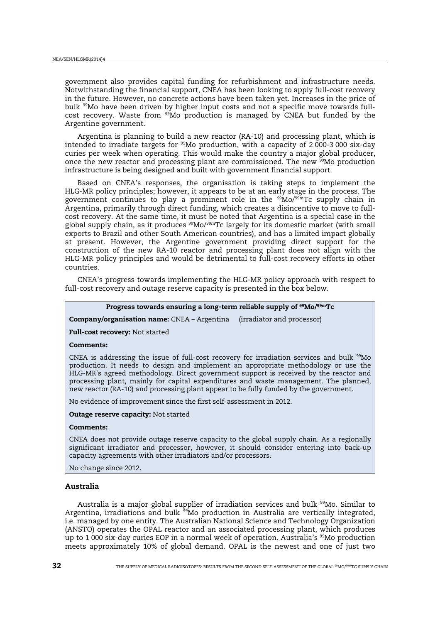<span id="page-31-0"></span>government also provides capital funding for refurbishment and infrastructure needs. Notwithstanding the financial support, CNEA has been looking to apply full-cost recovery in the future. However, no concrete actions have been taken yet. Increases in the price of bulk 99Mo have been driven by higher input costs and not a specific move towards fullcost recovery. Waste from <sup>99</sup>Mo production is managed by CNEA but funded by the Argentine government.

Argentina is planning to build a new reactor (RA-10) and processing plant, which is intended to irradiate targets for <sup>99</sup>Mo production, with a capacity of 2 000-3 000 six-day curies per week when operating. This would make the country a major global producer, once the new reactor and processing plant are commissioned. The new <sup>99</sup>Mo production infrastructure is being designed and built with government financial support.

Based on CNEA's responses, the organisation is taking steps to implement the HLG-MR policy principles; however, it appears to be at an early stage in the process. The government continues to play a prominent role in the <sup>99</sup>Mo/99mTc supply chain in Argentina, primarily through direct funding, which creates a disincentive to move to fullcost recovery. At the same time, it must be noted that Argentina is a special case in the global supply chain, as it produces <sup>99</sup>Mo/<sup>99m</sup>Tc largely for its domestic market (with small exports to Brazil and other South American countries), and has a limited impact globally at present. However, the Argentine government providing direct support for the construction of the new RA-10 reactor and processing plant does not align with the HLG-MR policy principles and would be detrimental to full-cost recovery efforts in other countries.

CNEA's progress towards implementing the HLG-MR policy approach with respect to full-cost recovery and outage reserve capacity is presented in the box below.

## Progress towards ensuring a long-term reliable supply of <sup>99</sup>Mo/<sup>99m</sup>Tc

Company/organisation name: CNEA – Argentina (irradiator and processor)

Full-cost recovery: Not started

#### Comments:

CNEA is addressing the issue of full-cost recovery for irradiation services and bulk <sup>99</sup>Mo production. It needs to design and implement an appropriate methodology or use the HLG-MR's agreed methodology. Direct government support is received by the reactor and processing plant, mainly for capital expenditures and waste management. The planned, new reactor (RA-10) and processing plant appear to be fully funded by the government.

No evidence of improvement since the first self-assessment in 2012.

Outage reserve capacity: Not started

#### Comments:

CNEA does not provide outage reserve capacity to the global supply chain. As a regionally significant irradiator and processor, however, it should consider entering into back-up capacity agreements with other irradiators and/or processors.

No change since 2012.

#### Australia

Australia is a major global supplier of irradiation services and bulk <sup>99</sup>Mo. Similar to Argentina, irradiations and bulk  $\frac{39}{2}$ Mo production in Australia are vertically integrated, i.e. managed by one entity. The Australian National Science and Technology Organization (ANSTO) operates the OPAL reactor and an associated processing plant, which produces up to 1 000 six-day curies EOP in a normal week of operation. Australia's <sup>99</sup>Mo production meets approximately 10% of global demand. OPAL is the newest and one of just two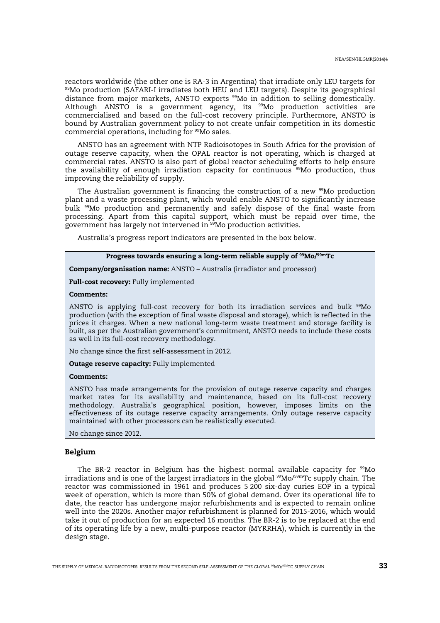<span id="page-32-0"></span>reactors worldwide (the other one is RA-3 in Argentina) that irradiate only LEU targets for <sup>99</sup>Mo production (SAFARI-I irradiates both HEU and LEU targets). Despite its geographical distance from major markets, ANSTO exports <sup>99</sup>Mo in addition to selling domestically. Although ANSTO is a government agency, its  $99$ Mo production activities are commercialised and based on the full-cost recovery principle. Furthermore, ANSTO is bound by Australian government policy to not create unfair competition in its domestic commercial operations, including for <sup>99</sup>Mo sales.

ANSTO has an agreement with NTP Radioisotopes in South Africa for the provision of outage reserve capacity, when the OPAL reactor is not operating, which is charged at commercial rates. ANSTO is also part of global reactor scheduling efforts to help ensure the availability of enough irradiation capacity for continuous  $\frac{1}{99}$ Mo production, thus improving the reliability of supply.

The Australian government is financing the construction of a new <sup>99</sup>Mo production plant and a waste processing plant, which would enable ANSTO to significantly increase bulk <sup>99</sup>Mo production and permanently and safely dispose of the final waste from processing. Apart from this capital support, which must be repaid over time, the government has largely not intervened in<sup>99</sup>Mo production activities.

Australia's progress report indicators are presented in the box below.

## Progress towards ensuring a long-term reliable supply of  $99$ Mo/ $99$ mTc

Company/organisation name: ANSTO – Australia (irradiator and processor)

#### Full-cost recovery: Fully implemented

#### Comments:

ANSTO is applying full-cost recovery for both its irradiation services and bulk  $99M$ o production (with the exception of final waste disposal and storage), which is reflected in the prices it charges. When a new national long-term waste treatment and storage facility is built, as per the Australian government's commitment, ANSTO needs to include these costs as well in its full-cost recovery methodology.

No change since the first self-assessment in 2012.

Outage reserve capacity: Fully implemented

## Comments:

ANSTO has made arrangements for the provision of outage reserve capacity and charges market rates for its availability and maintenance, based on its full-cost recovery methodology. Australia's geographical position, however, imposes limits on the effectiveness of its outage reserve capacity arrangements. Only outage reserve capacity maintained with other processors can be realistically executed.

No change since 2012.

## Belgium

The BR-2 reactor in Belgium has the highest normal available capacity for  $99M$ o irradiations and is one of the largest irradiators in the global  $^{99}$ Mo/ $^{99m}$ Tc supply chain. The reactor was commissioned in 1961 and produces 5 200 six-day curies EOP in a typical week of operation, which is more than 50% of global demand. Over its operational life to date, the reactor has undergone major refurbishments and is expected to remain online well into the 2020s. Another major refurbishment is planned for 2015-2016, which would take it out of production for an expected 16 months. The BR-2 is to be replaced at the end of its operating life by a new, multi-purpose reactor (MYRRHA), which is currently in the design stage.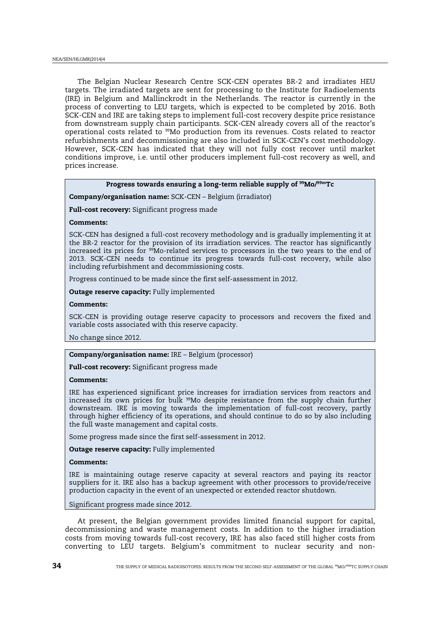The Belgian Nuclear Research Centre SCK-CEN operates BR-2 and irradiates HEU targets. The irradiated targets are sent for processing to the Institute for Radioelements (IRE) in Belgium and Mallinckrodt in the Netherlands. The reactor is currently in the process of converting to LEU targets, which is expected to be completed by 2016. Both SCK-CEN and IRE are taking steps to implement full-cost recovery despite price resistance from downstream supply chain participants. SCK-CEN already covers all of the reactor's operational costs related to <sup>99</sup>Mo production from its revenues. Costs related to reactor refurbishments and decommissioning are also included in SCK-CEN's cost methodology. However, SCK-CEN has indicated that they will not fully cost recover until market conditions improve, i.e. until other producers implement full-cost recovery as well, and prices increase.

## Progress towards ensuring a long-term reliable supply of <sup>99</sup>Mo/<sup>99m</sup>Tc

Company/organisation name: SCK-CEN – Belgium (irradiator)

Full-cost recovery: Significant progress made

## Comments:

SCK-CEN has designed a full-cost recovery methodology and is gradually implementing it at the BR-2 reactor for the provision of its irradiation services. The reactor has significantly increased its prices for  $99$ Mo-related services to processors in the two years to the end of 2013. SCK-CEN needs to continue its progress towards full-cost recovery, while also including refurbishment and decommissioning costs.

Progress continued to be made since the first self-assessment in 2012.

Outage reserve capacity: Fully implemented

#### Comments:

SCK-CEN is providing outage reserve capacity to processors and recovers the fixed and variable costs associated with this reserve capacity.

No change since 2012.

## Company/organisation name: IRE – Belgium (processor)

Full-cost recovery: Significant progress made

#### Comments:

IRE has experienced significant price increases for irradiation services from reactors and increased its own prices for bulk <sup>99</sup>Mo despite resistance from the supply chain further downstream. IRE is moving towards the implementation of full-cost recovery, partly through higher efficiency of its operations, and should continue to do so by also including the full waste management and capital costs.

Some progress made since the first self-assessment in 2012.

**Outage reserve capacity: Fully implemented** 

#### Comments:

IRE is maintaining outage reserve capacity at several reactors and paying its reactor suppliers for it. IRE also has a backup agreement with other processors to provide/receive production capacity in the event of an unexpected or extended reactor shutdown.

Significant progress made since 2012.

At present, the Belgian government provides limited financial support for capital, decommissioning and waste management costs. In addition to the higher irradiation costs from moving towards full-cost recovery, IRE has also faced still higher costs from converting to LEU targets. Belgium's commitment to nuclear security and non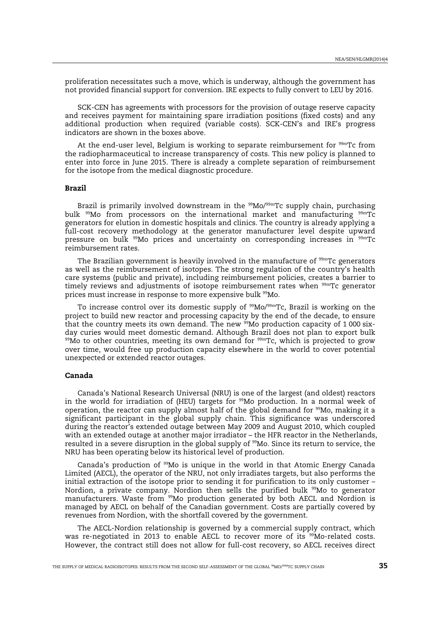<span id="page-34-0"></span>proliferation necessitates such a move, which is underway, although the government has not provided financial support for conversion. IRE expects to fully convert to LEU by 2016.

SCK-CEN has agreements with processors for the provision of outage reserve capacity and receives payment for maintaining spare irradiation positions (fixed costs) and any additional production when required (variable costs). SCK-CEN's and IRE's progress indicators are shown in the boxes above.

At the end-user level, Belgium is working to separate reimbursement for  $\frac{99m}{Tc}$  from the radiopharmaceutical to increase transparency of costs. This new policy is planned to enter into force in June 2015. There is already a complete separation of reimbursement for the isotope from the medical diagnostic procedure.

#### Brazil

Brazil is primarily involved downstream in the  $99$ Mo/ $99$ mTc supply chain, purchasing bulk <sup>99</sup>Mo from processors on the international market and manufacturing <sup>99m</sup>Tc generators for elution in domestic hospitals and clinics. The country is already applying a full-cost recovery methodology at the generator manufacturer level despite upward pressure on bulk <sup>99</sup>Mo prices and uncertainty on corresponding increases in 99mTc reimbursement rates.

The Brazilian government is heavily involved in the manufacture of  $99mTc$  generators as well as the reimbursement of isotopes. The strong regulation of the country's health care systems (public and private), including reimbursement policies, creates a barrier to timely reviews and adjustments of isotope reimbursement rates when <sup>99m</sup>Tc generator prices must increase in response to more expensive bulk <sup>99</sup>Mo.

To increase control over its domestic supply of <sup>99</sup>Mo/99mTc, Brazil is working on the project to build new reactor and processing capacity by the end of the decade, to ensure that the country meets its own demand. The new  $^{99}$ Mo production capacity of 1000 sixday curies would meet domestic demand. Although Brazil does not plan to export bulk 99Mo to other countries, meeting its own demand for <sup>99m</sup>Tc, which is projected to grow over time, would free up production capacity elsewhere in the world to cover potential unexpected or extended reactor outages.

#### Canada

Canada's National Research Universal (NRU) is one of the largest (and oldest) reactors in the world for irradiation of (HEU) targets for  $^{99}$ Mo production. In a normal week of operation, the reactor can supply almost half of the global demand for <sup>99</sup>Mo, making it a significant participant in the global supply chain. This significance was underscored during the reactor's extended outage between May 2009 and August 2010, which coupled with an extended outage at another major irradiator – the HFR reactor in the Netherlands, resulted in a severe disruption in the global supply of <sup>99</sup>Mo. Since its return to service, the NRU has been operating below its historical level of production.

Canada's production of <sup>99</sup>Mo is unique in the world in that Atomic Energy Canada Limited (AECL), the operator of the NRU, not only irradiates targets, but also performs the initial extraction of the isotope prior to sending it for purification to its only customer – Nordion, a private company. Nordion then sells the purified bulk <sup>99</sup>Mo to generator manufacturers. Waste from <sup>99</sup>Mo production generated by both AECL and Nordion is managed by AECL on behalf of the Canadian government. Costs are partially covered by revenues from Nordion, with the shortfall covered by the government.

The AECL-Nordion relationship is governed by a commercial supply contract, which was re-negotiated in 2013 to enable AECL to recover more of its <sup>99</sup>Mo-related costs. However, the contract still does not allow for full-cost recovery, so AECL receives direct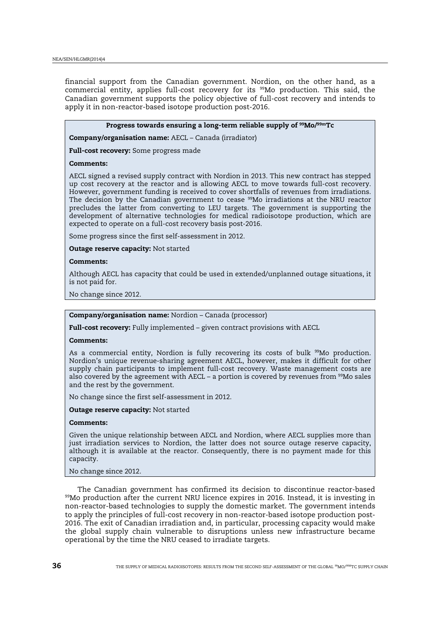financial support from the Canadian government. Nordion, on the other hand, as a commercial entity, applies full-cost recovery for its <sup>99</sup>Mo production. This said, the Canadian government supports the policy objective of full-cost recovery and intends to apply it in non-reactor-based isotope production post-2016.

## Progress towards ensuring a long-term reliable supply of  $99$ Mo/ $99$ mTc

Company/organisation name: AECL – Canada (irradiator)

Full-cost recovery: Some progress made

#### Comments:

AECL signed a revised supply contract with Nordion in 2013. This new contract has stepped up cost recovery at the reactor and is allowing AECL to move towards full-cost recovery. However, government funding is received to cover shortfalls of revenues from irradiations. The decision by the Canadian government to cease <sup>99</sup>Mo irradiations at the NRU reactor precludes the latter from converting to LEU targets. The government is supporting the development of alternative technologies for medical radioisotope production, which are expected to operate on a full-cost recovery basis post-2016.

Some progress since the first self-assessment in 2012.

Outage reserve capacity: Not started

#### Comments:

Although AECL has capacity that could be used in extended/unplanned outage situations, it is not paid for.

No change since 2012.

#### Company/organisation name: Nordion – Canada (processor)

Full-cost recovery: Fully implemented - given contract provisions with AECL

#### Comments:

As a commercial entity. Nordion is fully recovering its costs of bulk  $99$ Mo production. Nordion's unique revenue-sharing agreement AECL, however, makes it difficult for other supply chain participants to implement full-cost recovery. Waste management costs are also covered by the agreement with AECL – a portion is covered by revenues from  $99$ Mo sales and the rest by the government.

No change since the first self-assessment in 2012.

#### Outage reserve capacity: Not started

#### Comments:

Given the unique relationship between AECL and Nordion, where AECL supplies more than just irradiation services to Nordion, the latter does not source outage reserve capacity, although it is available at the reactor. Consequently, there is no payment made for this capacity.

#### No change since 2012.

The Canadian government has confirmed its decision to discontinue reactor-based 99Mo production after the current NRU licence expires in 2016. Instead, it is investing in non-reactor-based technologies to supply the domestic market. The government intends to apply the principles of full-cost recovery in non-reactor-based isotope production post-2016. The exit of Canadian irradiation and, in particular, processing capacity would make the global supply chain vulnerable to disruptions unless new infrastructure became operational by the time the NRU ceased to irradiate targets.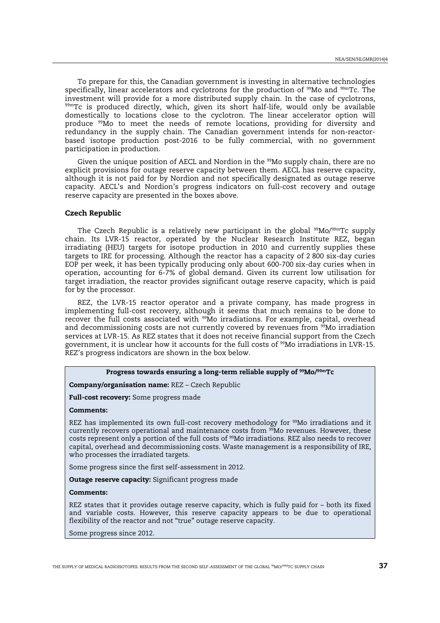<span id="page-36-0"></span>To prepare for this, the Canadian government is investing in alternative technologies specifically, linear accelerators and cyclotrons for the production of  $^{99}$ Mo and  $^{99}$ mTc. The investment will provide for a more distributed supply chain. In the case of cyclotrons,  $99mTc$  is produced directly, which, given its short half-life, would only be available domestically to locations close to the cyclotron. The linear accelerator option will produce <sup>99</sup>Mo to meet the needs of remote locations, providing for diversity and redundancy in the supply chain. The Canadian government intends for non-reactorbased isotope production post-2016 to be fully commercial, with no government participation in production.

Given the unique position of AECL and Nordion in the  $99$ Mo supply chain, there are no explicit provisions for outage reserve capacity between them. AECL has reserve capacity, although it is not paid for by Nordion and not specifically designated as outage reserve capacity. AECL's and Nordion's progress indicators on full-cost recovery and outage reserve capacity are presented in the boxes above.

#### Czech Republic

The Czech Republic is a relatively new participant in the global  $^{99}$ Mo/ $^{99}$ mTc supply chain. Its LVR-15 reactor, operated by the Nuclear Research Institute REZ, began irradiating (HEU) targets for isotope production in 2010 and currently supplies these targets to IRE for processing. Although the reactor has a capacity of 2 800 six-day curies EOP per week, it has been typically producing only about 600-700 six-day curies when in operation, accounting for 6-7% of global demand. Given its current low utilisation for target irradiation, the reactor provides significant outage reserve capacity, which is paid for by the processor.

REZ, the LVR-15 reactor operator and a private company, has made progress in implementing full-cost recovery, although it seems that much remains to be done to recover the full costs associated with  $^{99}$ Mo irradiations. For example, capital, overhead and decommissioning costs are not currently covered by revenues from <sup>99</sup>Mo irradiation services at LVR-15. As REZ states that it does not receive financial support from the Czech government, it is unclear how it accounts for the full costs of <sup>99</sup>Mo irradiations in LVR-15. REZ's progress indicators are shown in the box below.

#### Progress towards ensuring a long-term reliable supply of <sup>99</sup>Mo/<sup>99m</sup>Tc

Company/organisation name: REZ – Czech Republic

Full-cost recovery: Some progress made

## Comments:

REZ has implemented its own full-cost recovery methodology for <sup>99</sup>Mo irradiations and it currently recovers operational and maintenance costs from <sup>99</sup>Mo revenues. However, these costs represent only a portion of the full costs of <sup>99</sup>Mo irradiations. REZ also needs to recover capital, overhead and decommissioning costs. Waste management is a responsibility of IRE, who processes the irradiated targets.

Some progress since the first self-assessment in 2012.

**Outage reserve capacity:** Significant progress made

#### Comments:

REZ states that it provides outage reserve capacity, which is fully paid for – both its fixed and variable costs. However, this reserve capacity appears to be due to operational flexibility of the reactor and not "true" outage reserve capacity.

Some progress since 2012.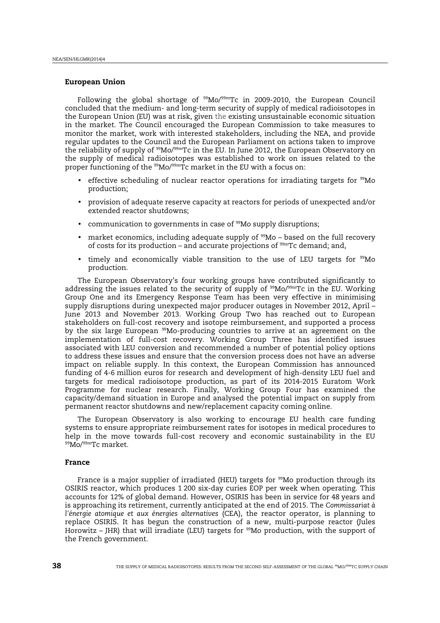#### <span id="page-37-0"></span>European Union

Following the global shortage of  $99M_0/99mTc$  in 2009-2010, the European Council concluded that the medium- and long-term security of supply of medical radioisotopes in the European Union (EU) was at risk, given the existing unsustainable economic situation in the market. The Council encouraged the European Commission to take measures to monitor the market, work with interested stakeholders, including the NEA, and provide regular updates to the Council and the European Parliament on actions taken to improve the reliability of supply of <sup>99</sup>Mo/99mTc in the EU. In June 2012, the European Observatory on the supply of medical radioisotopes was established to work on issues related to the proper functioning of the <sup>99</sup>Mo/<sup>99m</sup>Tc market in the EU with a focus on:

- effective scheduling of nuclear reactor operations for irradiating targets for  $99M$ o production;
- provision of adequate reserve capacity at reactors for periods of unexpected and/or extended reactor shutdowns;
- communication to governments in case of  $99$ Mo supply disruptions;
- market economics, including adequate supply of  $99$ Mo based on the full recovery of costs for its production – and accurate projections of  $\frac{99 \text{m}}{6}$  demand; and,
- timely and economically viable transition to the use of LEU targets for  $^{99}$ Mo production.

The European Observatory's four working groups have contributed significantly to addressing the issues related to the security of supply of <sup>99</sup>Mo/<sup>99m</sup>Tc in the EU. Working Group One and its Emergency Response Team has been very effective in minimising supply disruptions during unexpected major producer outages in November 2012, April – June 2013 and November 2013. Working Group Two has reached out to European stakeholders on full-cost recovery and isotope reimbursement, and supported a process by the six large European <sup>99</sup>Mo-producing countries to arrive at an agreement on the implementation of full-cost recovery. Working Group Three has identified issues associated with LEU conversion and recommended a number of potential policy options to address these issues and ensure that the conversion process does not have an adverse impact on reliable supply. In this context, the European Commission has announced funding of 4-6 million euros for research and development of high-density LEU fuel and targets for medical radioisotope production, as part of its 2014-2015 Euratom Work Programme for nuclear research. Finally, Working Group Four has examined the capacity/demand situation in Europe and analysed the potential impact on supply from permanent reactor shutdowns and new/replacement capacity coming online.

The European Observatory is also working to encourage EU health care funding systems to ensure appropriate reimbursement rates for isotopes in medical procedures to help in the move towards full-cost recovery and economic sustainability in the EU <sup>99</sup>Mo/99mTc market.

#### France

France is a major supplier of irradiated (HEU) targets for <sup>99</sup>Mo production through its OSIRIS reactor, which produces 1 200 six-day curies EOP per week when operating. This accounts for 12% of global demand. However, OSIRIS has been in service for 48 years and is approaching its retirement, currently anticipated at the end of 2015. The *Commissariat à l'énergie atomique et aux énergies alternatives* (CEA), the reactor operator, is planning to replace OSIRIS. It has begun the construction of a new, multi-purpose reactor (Jules Horowitz – JHR) that will irradiate (LEU) targets for  $^{99}$ Mo production, with the support of the French government.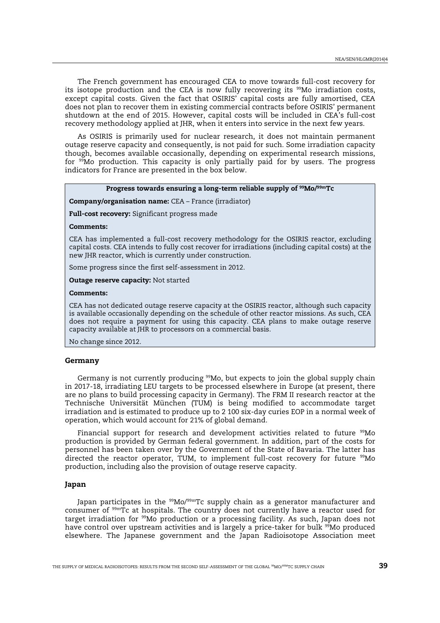<span id="page-38-0"></span>The French government has encouraged CEA to move towards full-cost recovery for its isotope production and the CEA is now fully recovering its  $99$ Mo irradiation costs, except capital costs. Given the fact that OSIRIS' capital costs are fully amortised, CEA does not plan to recover them in existing commercial contracts before OSIRIS' permanent shutdown at the end of 2015. However, capital costs will be included in CEA's full-cost recovery methodology applied at JHR, when it enters into service in the next few years.

As OSIRIS is primarily used for nuclear research, it does not maintain permanent outage reserve capacity and consequently, is not paid for such. Some irradiation capacity though, becomes available occasionally, depending on experimental research missions, for <sup>99</sup>Mo production. This capacity is only partially paid for by users. The progress indicators for France are presented in the box below.

#### Progress towards ensuring a long-term reliable supply of <sup>99</sup>Mo/<sup>99m</sup>Tc

Company/organisation name: CEA – France (irradiator)

Full-cost recovery: Significant progress made

#### Comments:

CEA has implemented a full-cost recovery methodology for the OSIRIS reactor, excluding capital costs. CEA intends to fully cost recover for irradiations (including capital costs) at the new JHR reactor, which is currently under construction.

Some progress since the first self-assessment in 2012.

#### Outage reserve capacity: Not started

#### Comments:

CEA has not dedicated outage reserve capacity at the OSIRIS reactor, although such capacity is available occasionally depending on the schedule of other reactor missions. As such, CEA does not require a payment for using this capacity. CEA plans to make outage reserve capacity available at JHR to processors on a commercial basis.

No change since 2012.

#### Germany

Germany is not currently producing <sup>99</sup>Mo, but expects to join the global supply chain in 2017-18, irradiating LEU targets to be processed elsewhere in Europe (at present, there are no plans to build processing capacity in Germany). The FRM II research reactor at the Technische Universität München (TUM) is being modified to accommodate target irradiation and is estimated to produce up to 2 100 six-day curies EOP in a normal week of operation, which would account for 21% of global demand.

Financial support for research and development activities related to future <sup>99</sup>Mo production is provided by German federal government. In addition, part of the costs for personnel has been taken over by the Government of the State of Bavaria. The latter has directed the reactor operator, TUM, to implement full-cost recovery for future  $99M\text{o}$ production, including also the provision of outage reserve capacity.

## Japan

Japan participates in the  $99Mo/99mTc$  supply chain as a generator manufacturer and consumer of 99mTc at hospitals. The country does not currently have a reactor used for target irradiation for <sup>99</sup>Mo production or a processing facility. As such, Japan does not have control over upstream activities and is largely a price-taker for bulk <sup>99</sup>Mo produced elsewhere. The Japanese government and the Japan Radioisotope Association meet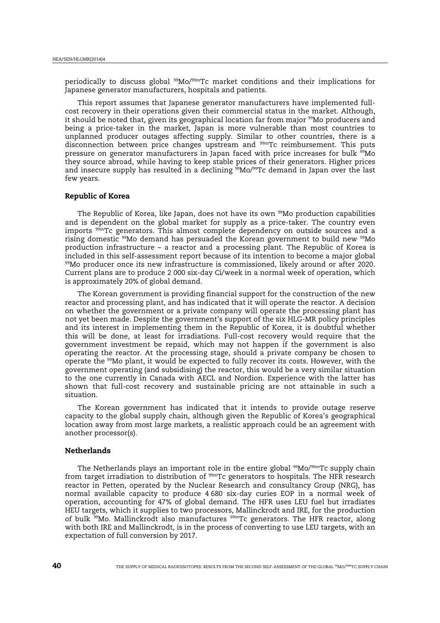<span id="page-39-0"></span>periodically to discuss global <sup>99</sup>Mo/<sup>99m</sup>Tc market conditions and their implications for Japanese generator manufacturers, hospitals and patients.

This report assumes that Japanese generator manufacturers have implemented fullcost recovery in their operations given their commercial status in the market. Although, it should be noted that, given its geographical location far from major <sup>99</sup>Mo producers and being a price-taker in the market, Japan is more vulnerable than most countries to unplanned producer outages affecting supply. Similar to other countries, there is a disconnection between price changes upstream and 99mTc reimbursement. This puts pressure on generator manufacturers in Japan faced with price increases for bulk  $\frac{39}{9}$ Mo they source abroad, while having to keep stable prices of their generators. Higher prices and insecure supply has resulted in a declining <sup>99</sup>Mo/<sup>99</sup>Tc demand in Japan over the last few years.

## Republic of Korea

The Republic of Korea, like Japan, does not have its own <sup>99</sup>Mo production capabilities and is dependent on the global market for supply as a price-taker. The country even imports 99mTc generators. This almost complete dependency on outside sources and a rising domestic <sup>99</sup>Mo demand has persuaded the Korean government to build new <sup>99</sup>Mo production infrastructure – a reactor and a processing plant. The Republic of Korea is included in this self-assessment report because of its intention to become a major global <sup>99</sup>Mo producer once its new infrastructure is commissioned, likely around or after 2020. Current plans are to produce 2 000 six-day Ci/week in a normal week of operation, which is approximately 20% of global demand.

The Korean government is providing financial support for the construction of the new reactor and processing plant, and has indicated that it will operate the reactor. A decision on whether the government or a private company will operate the processing plant has not yet been made. Despite the government's support of the six HLG-MR policy principles and its interest in implementing them in the Republic of Korea, it is doubtful whether this will be done, at least for irradiations. Full-cost recovery would require that the government investment be repaid, which may not happen if the government is also operating the reactor. At the processing stage, should a private company be chosen to operate the <sup>99</sup>Mo plant, it would be expected to fully recover its costs. However, with the government operating (and subsidising) the reactor, this would be a very similar situation to the one currently in Canada with AECL and Nordion. Experience with the latter has shown that full-cost recovery and sustainable pricing are not attainable in such a situation.

The Korean government has indicated that it intends to provide outage reserve capacity to the global supply chain, although given the Republic of Korea's geographical location away from most large markets, a realistic approach could be an agreement with another processor(s).

#### **Netherlands**

The Netherlands plays an important role in the entire global <sup>99</sup>Mo/<sup>99m</sup>Tc supply chain from target irradiation to distribution of  $99m$ Tc generators to hospitals. The HFR research reactor in Petten, operated by the Nuclear Research and consultancy Group (NRG), has normal available capacity to produce 4 680 six-day curies EOP in a normal week of operation, accounting for 47% of global demand. The HFR uses LEU fuel but irradiates HEU targets, which it supplies to two processors, Mallinckrodt and IRE, for the production of bulk <sup>99</sup>Mo. Mallinckrodt also manufactures <sup>99m</sup>Tc generators. The HFR reactor, along with both IRE and Mallinckrodt, is in the process of converting to use LEU targets, with an expectation of full conversion by 2017.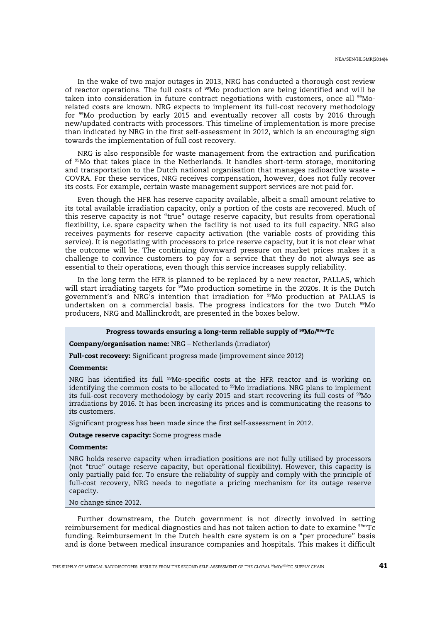In the wake of two major outages in 2013, NRG has conducted a thorough cost review of reactor operations. The full costs of <sup>99</sup>Mo production are being identified and will be taken into consideration in future contract negotiations with customers, once all 99Morelated costs are known. NRG expects to implement its full-cost recovery methodology for <sup>99</sup>Mo production by early 2015 and eventually recover all costs by 2016 through new/updated contracts with processors. This timeline of implementation is more precise than indicated by NRG in the first self-assessment in 2012, which is an encouraging sign towards the implementation of full cost recovery.

NRG is also responsible for waste management from the extraction and purification of <sup>99</sup>Mo that takes place in the Netherlands. It handles short-term storage, monitoring and transportation to the Dutch national organisation that manages radioactive waste – COVRA. For these services, NRG receives compensation, however, does not fully recover its costs. For example, certain waste management support services are not paid for.

Even though the HFR has reserve capacity available, albeit a small amount relative to its total available irradiation capacity, only a portion of the costs are recovered. Much of this reserve capacity is not "true" outage reserve capacity, but results from operational flexibility, i.e. spare capacity when the facility is not used to its full capacity. NRG also receives payments for reserve capacity activation (the variable costs of providing this service). It is negotiating with processors to price reserve capacity, but it is not clear what the outcome will be. The continuing downward pressure on market prices makes it a challenge to convince customers to pay for a service that they do not always see as essential to their operations, even though this service increases supply reliability.

In the long term the HFR is planned to be replaced by a new reactor, PALLAS, which will start irradiating targets for <sup>99</sup>Mo production sometime in the 2020s. It is the Dutch government's and NRG's intention that irradiation for <sup>99</sup>Mo production at PALLAS is undertaken on a commercial basis. The progress indicators for the two Dutch <sup>99</sup>Mo producers, NRG and Mallinckrodt, are presented in the boxes below.

#### Progress towards ensuring a long-term reliable supply of <sup>99</sup>Mo/<sup>99m</sup>Tc

Company/organisation name: NRG – Netherlands (irradiator)

Full-cost recovery: Significant progress made (improvement since 2012)

#### Comments:

NRG has identified its full <sup>99</sup>Mo-specific costs at the HFR reactor and is working on identifying the common costs to be allocated to <sup>99</sup>Mo irradiations. NRG plans to implement its full-cost recovery methodology by early 2015 and start recovering its full costs of <sup>99</sup>Mo irradiations by 2016. It has been increasing its prices and is communicating the reasons to its customers.

Significant progress has been made since the first self-assessment in 2012.

**Outage reserve capacity:** Some progress made

#### Comments:

NRG holds reserve capacity when irradiation positions are not fully utilised by processors (not "true" outage reserve capacity, but operational flexibility). However, this capacity is only partially paid for. To ensure the reliability of supply and comply with the principle of full-cost recovery, NRG needs to negotiate a pricing mechanism for its outage reserve capacity.

No change since 2012.

Further downstream, the Dutch government is not directly involved in setting reimbursement for medical diagnostics and has not taken action to date to examine <sup>99m</sup>Tc funding. Reimbursement in the Dutch health care system is on a "per procedure" basis and is done between medical insurance companies and hospitals. This makes it difficult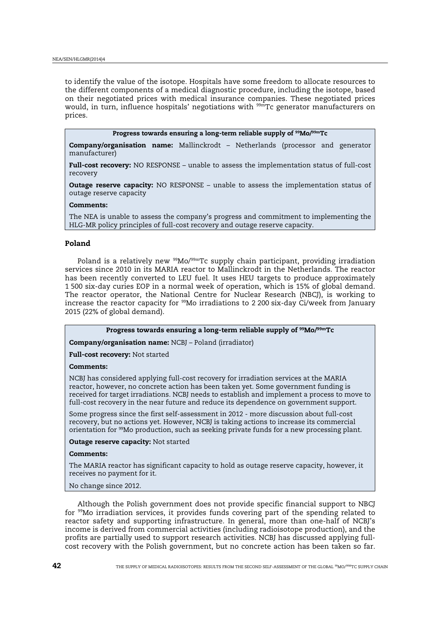<span id="page-41-0"></span>to identify the value of the isotope. Hospitals have some freedom to allocate resources to the different components of a medical diagnostic procedure, including the isotope, based on their negotiated prices with medical insurance companies. These negotiated prices would, in turn, influence hospitals' negotiations with <sup>99m</sup>Tc generator manufacturers on prices.

Progress towards ensuring a long-term reliable supply of <sup>99</sup>Mo/<sup>99m</sup>Tc

Company/organisation name: Mallinckrodt – Netherlands (processor and generator manufacturer)

Full-cost recovery: NO RESPONSE – unable to assess the implementation status of full-cost recovery

Outage reserve capacity: NO RESPONSE – unable to assess the implementation status of outage reserve capacity

#### Comments:

The NEA is unable to assess the company's progress and commitment to implementing the HLG-MR policy principles of full-cost recovery and outage reserve capacity.

## Poland

Poland is a relatively new  $99M<sub>0</sub>/99mTc$  supply chain participant, providing irradiation services since 2010 in its MARIA reactor to Mallinckrodt in the Netherlands. The reactor has been recently converted to LEU fuel. It uses HEU targets to produce approximately 1 500 six-day curies EOP in a normal week of operation, which is 15% of global demand. The reactor operator, the National Centre for Nuclear Research (NBCJ), is working to increase the reactor capacity for <sup>99</sup>Mo irradiations to 2 200 six-day Ci/week from January 2015 (22% of global demand).

Progress towards ensuring a long-term reliable supply of <sup>99</sup>Mo/<sup>99m</sup>Tc

Company/organisation name: NCBJ – Poland (irradiator)

Full-cost recovery: Not started

#### Comments:

NCBJ has considered applying full-cost recovery for irradiation services at the MARIA reactor, however, no concrete action has been taken yet. Some government funding is received for target irradiations. NCBJ needs to establish and implement a process to move to full-cost recovery in the near future and reduce its dependence on government support.

Some progress since the first self-assessment in 2012 - more discussion about full-cost recovery, but no actions yet. However, NCBJ is taking actions to increase its commercial orientation for <sup>99</sup>Mo production, such as seeking private funds for a new processing plant.

Outage reserve capacity: Not started

#### Comments:

The MARIA reactor has significant capacity to hold as outage reserve capacity, however, it receives no payment for it.

No change since 2012.

Although the Polish government does not provide specific financial support to NBCJ for <sup>99</sup>Mo irradiation services, it provides funds covering part of the spending related to reactor safety and supporting infrastructure. In general, more than one-half of NCBJ's income is derived from commercial activities (including radioisotope production), and the profits are partially used to support research activities. NCBJ has discussed applying fullcost recovery with the Polish government, but no concrete action has been taken so far.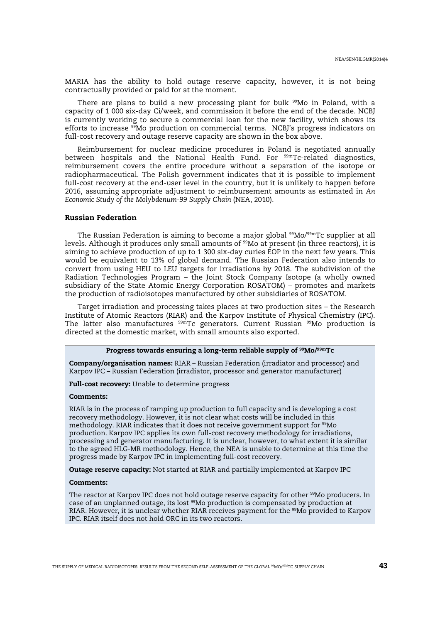<span id="page-42-0"></span>MARIA has the ability to hold outage reserve capacity, however, it is not being contractually provided or paid for at the moment.

There are plans to build a new processing plant for bulk <sup>99</sup>Mo in Poland, with a capacity of 1 000 six-day Ci/week, and commission it before the end of the decade. NCBJ is currently working to secure a commercial loan for the new facility, which shows its efforts to increase <sup>99</sup>Mo production on commercial terms. NCBJ's progress indicators on full-cost recovery and outage reserve capacity are shown in the box above.

Reimbursement for nuclear medicine procedures in Poland is negotiated annually between hospitals and the National Health Fund. For <sup>99m</sup>Tc-related diagnostics, reimbursement covers the entire procedure without a separation of the isotope or radiopharmaceutical. The Polish government indicates that it is possible to implement full-cost recovery at the end-user level in the country, but it is unlikely to happen before 2016, assuming appropriate adjustment to reimbursement amounts as estimated in *An Economic Study of the Molybdenum-99 Supply Chain* (NEA, 2010).

#### Russian Federation

The Russian Federation is aiming to become a major global <sup>99</sup>Mo/<sup>99m</sup>Tc supplier at all levels. Although it produces only small amounts of <sup>99</sup>Mo at present (in three reactors), it is aiming to achieve production of up to 1 300 six-day curies EOP in the next few years. This would be equivalent to 13% of global demand. The Russian Federation also intends to convert from using HEU to LEU targets for irradiations by 2018. The subdivision of the Radiation Technologies Program – the Joint Stock Company Isotope (a wholly owned subsidiary of the State Atomic Energy Corporation ROSATOM) – promotes and markets the production of radioisotopes manufactured by other subsidiaries of ROSATOM.

Target irradiation and processing takes places at two production sites – the Research Institute of Atomic Reactors (RIAR) and the Karpov Institute of Physical Chemistry (IPC). The latter also manufactures  $^{99\rm m}$ Tc generators. Current Russian  $^{99}\rm Mo$  production is directed at the domestic market, with small amounts also exported.

## Progress towards ensuring a long-term reliable supply of <sup>99</sup>Mo/<sup>99m</sup>Tc

Company/organisation names: RIAR – Russian Federation (irradiator and processor) and Karpov IPC – Russian Federation (irradiator, processor and generator manufacturer)

## Full-cost recovery: Unable to determine progress

#### Comments:

RIAR is in the process of ramping up production to full capacity and is developing a cost recovery methodology. However, it is not clear what costs will be included in this methodology. RIAR indicates that it does not receive government support for <sup>99</sup>Mo production. Karpov IPC applies its own full-cost recovery methodology for irradiations, processing and generator manufacturing. It is unclear, however, to what extent it is similar to the agreed HLG-MR methodology. Hence, the NEA is unable to determine at this time the progress made by Karpov IPC in implementing full-cost recovery.

Outage reserve capacity: Not started at RIAR and partially implemented at Karpov IPC

#### Comments:

The reactor at Karpov IPC does not hold outage reserve capacity for other <sup>99</sup>Mo producers. In case of an unplanned outage, its lost <sup>99</sup>Mo production is compensated by production at RIAR. However, it is unclear whether RIAR receives payment for the <sup>99</sup>Mo provided to Karpov IPC. RIAR itself does not hold ORC in its two reactors.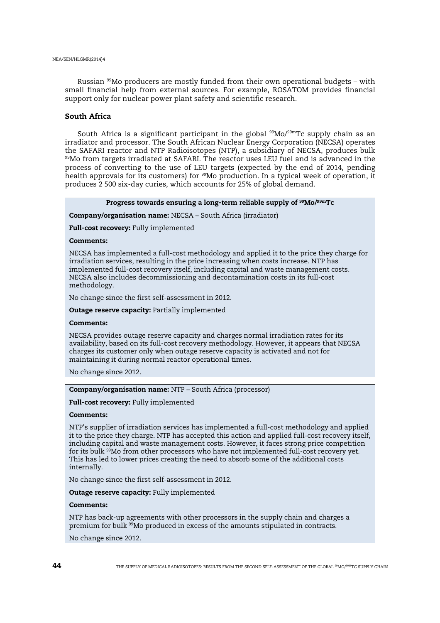<span id="page-43-0"></span>Russian <sup>99</sup>Mo producers are mostly funded from their own operational budgets – with small financial help from external sources. For example, ROSATOM provides financial support only for nuclear power plant safety and scientific research.

#### South Africa

South Africa is a significant participant in the global <sup>99</sup>Mo/<sup>99m</sup>Tc supply chain as an irradiator and processor. The South African Nuclear Energy Corporation (NECSA) operates the SAFARI reactor and NTP Radioisotopes (NTP), a subsidiary of NECSA, produces bulk 99Mo from targets irradiated at SAFARI. The reactor uses LEU fuel and is advanced in the process of converting to the use of LEU targets (expected by the end of 2014, pending health approvals for its customers) for <sup>99</sup>Mo production. In a typical week of operation, it produces 2 500 six-day curies, which accounts for 25% of global demand.

## Progress towards ensuring a long-term reliable supply of <sup>99</sup>Mo/<sup>99m</sup>Tc

Company/organisation name: NECSA – South Africa (irradiator)

Full-cost recovery: Fully implemented

## Comments:

NECSA has implemented a full-cost methodology and applied it to the price they charge for irradiation services, resulting in the price increasing when costs increase. NTP has implemented full-cost recovery itself, including capital and waste management costs. NECSA also includes decommissioning and decontamination costs in its full-cost methodology.

No change since the first self-assessment in 2012.

**Outage reserve capacity: Partially implemented** 

#### Comments:

NECSA provides outage reserve capacity and charges normal irradiation rates for its availability, based on its full-cost recovery methodology. However, it appears that NECSA charges its customer only when outage reserve capacity is activated and not for maintaining it during normal reactor operational times.

No change since 2012.

## Company/organisation name: NTP – South Africa (processor)

Full-cost recovery: Fully implemented

#### Comments:

NTP's supplier of irradiation services has implemented a full-cost methodology and applied it to the price they charge. NTP has accepted this action and applied full-cost recovery itself, including capital and waste management costs. However, it faces strong price competition for its bulk <sup>99</sup>Mo from other processors who have not implemented full-cost recovery yet. This has led to lower prices creating the need to absorb some of the additional costs internally.

No change since the first self-assessment in 2012.

**Outage reserve capacity: Fully implemented** 

## Comments:

NTP has back-up agreements with other processors in the supply chain and charges a premium for bulk <sup>99</sup>Mo produced in excess of the amounts stipulated in contracts.

No change since 2012.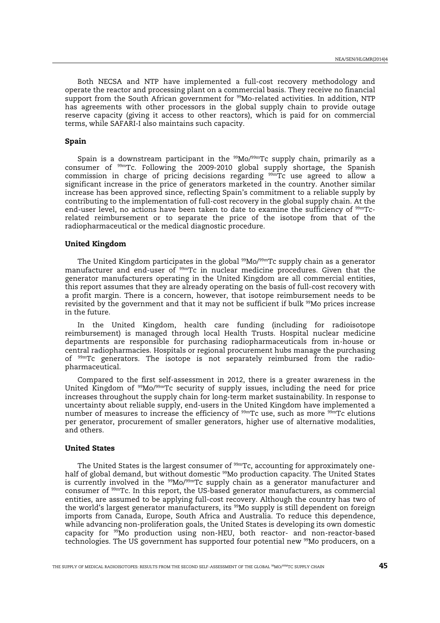<span id="page-44-0"></span>Both NECSA and NTP have implemented a full-cost recovery methodology and operate the reactor and processing plant on a commercial basis. They receive no financial support from the South African government for <sup>99</sup>Mo-related activities. In addition, NTP has agreements with other processors in the global supply chain to provide outage reserve capacity (giving it access to other reactors), which is paid for on commercial terms, while SAFARI-I also maintains such capacity.

## Spain

Spain is a downstream participant in the  $99$ Mo/ $99$ mTc supply chain, primarily as a consumer of 99mTc. Following the 2009-2010 global supply shortage, the Spanish commission in charge of pricing decisions regarding <sup>99mT</sup>c use agreed to allow a significant increase in the price of generators marketed in the country. Another similar increase has been approved since, reflecting Spain's commitment to a reliable supply by contributing to the implementation of full-cost recovery in the global supply chain. At the end-user level, no actions have been taken to date to examine the sufficiency of  $99mTc$ related reimbursement or to separate the price of the isotope from that of the radiopharmaceutical or the medical diagnostic procedure.

#### United Kingdom

The United Kingdom participates in the global  $99M<sub>0</sub>/99mTc$  supply chain as a generator manufacturer and end-user of 99mTc in nuclear medicine procedures. Given that the generator manufacturers operating in the United Kingdom are all commercial entities, this report assumes that they are already operating on the basis of full-cost recovery with a profit margin. There is a concern, however, that isotope reimbursement needs to be revisited by the government and that it may not be sufficient if bulk <sup>99</sup>Mo prices increase in the future.

In the United Kingdom, health care funding (including for radioisotope reimbursement) is managed through local Health Trusts. Hospital nuclear medicine departments are responsible for purchasing radiopharmaceuticals from in-house or central radiopharmacies. Hospitals or regional procurement hubs manage the purchasing of <sup>99m</sup>Tc generators. The isotope is not separately reimbursed from the radiopharmaceutical.

Compared to the first self-assessment in 2012, there is a greater awareness in the United Kingdom of  $99M_0/99mTc$  security of supply issues, including the need for price increases throughout the supply chain for long-term market sustainability. In response to uncertainty about reliable supply, end-users in the United Kingdom have implemented a number of measures to increase the efficiency of  $99m$ Tc use, such as more  $99m$ Tc elutions per generator, procurement of smaller generators, higher use of alternative modalities, and others.

#### United States

The United States is the largest consumer of <sup>99m</sup>Tc, accounting for approximately onehalf of global demand, but without domestic <sup>99</sup>Mo production capacity. The United States is currently involved in the <sup>99</sup>Mo/<sup>99m</sup>Tc supply chain as a generator manufacturer and consumer of 99mTc. In this report, the US-based generator manufacturers, as commercial entities, are assumed to be applying full-cost recovery. Although the country has two of the world's largest generator manufacturers, its <sup>99</sup>Mo supply is still dependent on foreign imports from Canada, Europe, South Africa and Australia. To reduce this dependence, while advancing non-proliferation goals, the United States is developing its own domestic capacity for <sup>99</sup>Mo production using non-HEU, both reactor- and non-reactor-based technologies. The US government has supported four potential new <sup>99</sup>Mo producers, on a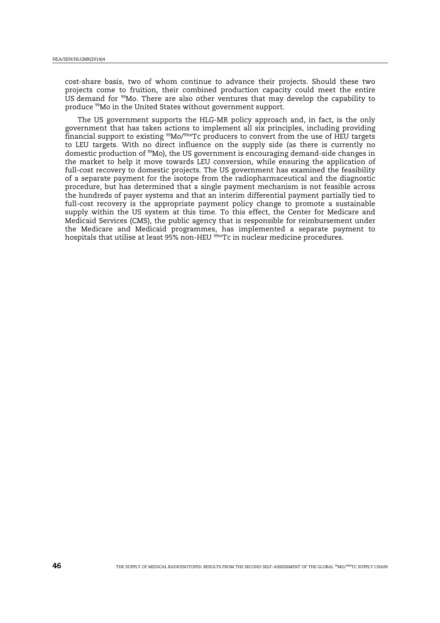cost-share basis, two of whom continue to advance their projects. Should these two projects come to fruition, their combined production capacity could meet the entire US demand for <sup>99</sup>Mo. There are also other ventures that may develop the capability to produce <sup>99</sup>Mo in the United States without government support.

The US government supports the HLG-MR policy approach and, in fact, is the only government that has taken actions to implement all six principles, including providing financial support to existing  $99Mo/99mTc$  producers to convert from the use of HEU targets to LEU targets. With no direct influence on the supply side (as there is currently no domestic production of <sup>99</sup>Mo), the US government is encouraging demand-side changes in the market to help it move towards LEU conversion, while ensuring the application of full-cost recovery to domestic projects. The US government has examined the feasibility of a separate payment for the isotope from the radiopharmaceutical and the diagnostic procedure, but has determined that a single payment mechanism is not feasible across the hundreds of payer systems and that an interim differential payment partially tied to full-cost recovery is the appropriate payment policy change to promote a sustainable supply within the US system at this time. To this effect, the Center for Medicare and Medicaid Services (CMS), the public agency that is responsible for reimbursement under the Medicare and Medicaid programmes, has implemented a separate payment to hospitals that utilise at least 95% non-HEU 99mTc in nuclear medicine procedures.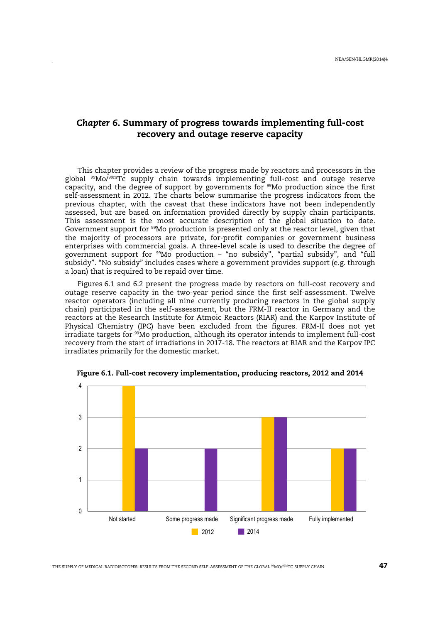# <span id="page-46-0"></span>*Chapter 6*. Summary of progress towards implementing full-cost recovery and outage reserve capacity

This chapter provides a review of the progress made by reactors and processors in the global <sup>99</sup>Mo/99mTc supply chain towards implementing full-cost and outage reserve capacity, and the degree of support by governments for  $^{99}\text{Mo}$  production since the first self-assessment in 2012. The charts below summarise the progress indicators from the previous chapter, with the caveat that these indicators have not been independently assessed, but are based on information provided directly by supply chain participants. This assessment is the most accurate description of the global situation to date. Government support for <sup>99</sup>Mo production is presented only at the reactor level, given that the majority of processors are private, for-profit companies or government business enterprises with commercial goals. A three-level scale is used to describe the degree of government support for  $99$ Mo production – "no subsidy", "partial subsidy", and "full subsidy". "No subsidy" includes cases where a government provides support (e.g. through a loan) that is required to be repaid over time.

Figures 6.1 and 6.2 present the progress made by reactors on full-cost recovery and outage reserve capacity in the two-year period since the first self-assessment. Twelve reactor operators (including all nine currently producing reactors in the global supply chain) participated in the self-assessment, but the FRM-II reactor in Germany and the reactors at the Research Institute for Atmoic Reactors (RIAR) and the Karpov Institute of Physical Chemistry (IPC) have been excluded from the figures. FRM-II does not yet irradiate targets for <sup>99</sup>Mo production, although its operator intends to implement full-cost recovery from the start of irradiations in 2017-18. The reactors at RIAR and the Karpov IPC irradiates primarily for the domestic market.



Figure 6.1. Full-cost recovery implementation, producing reactors, 2012 and 2014

THE SUPPLY OF MEDICAL RADIOISOTOPES: RESULTS FROM THE SECOND SELF-ASSESSMENT OF THE GLOBAL <sup>99</sup>MO/<sup>99M</sup>TC SUPPLY CHAIN **47**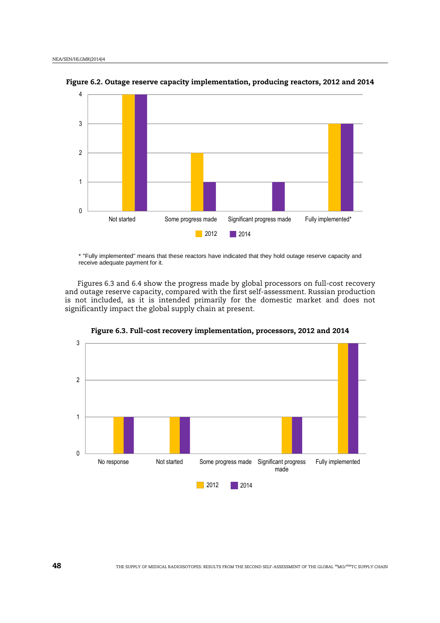

<span id="page-47-0"></span>Figure 6.2. Outage reserve capacity implementation, producing reactors, 2012 and 2014

\* "Fully implemented" means that these reactors have indicated that they hold outage reserve capacity and receive adequate payment for it.

Figures 6.3 and 6.4 show the progress made by global processors on full-cost recovery and outage reserve capacity, compared with the first self-assessment. Russian production is not included, as it is intended primarily for the domestic market and does not significantly impact the global supply chain at present.



Figure 6.3. Full-cost recovery implementation, processors, 2012 and 2014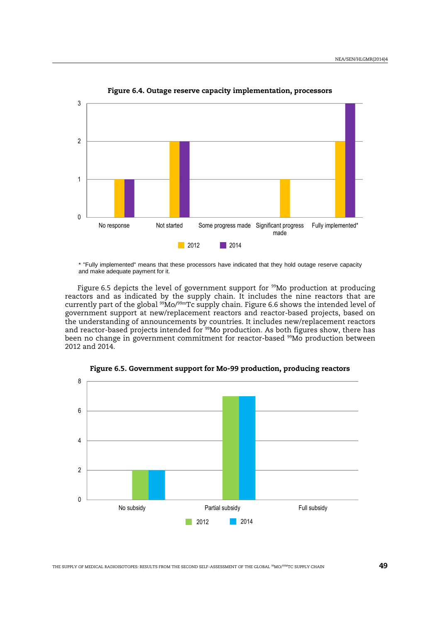<span id="page-48-0"></span>

Figure 6.4. Outage reserve capacity implementation, processors

\* "Fully implemented" means that these processors have indicated that they hold outage reserve capacity and make adequate payment for it.

Figure 6.5 depicts the level of government support for <sup>99</sup>Mo production at producing reactors and as indicated by the supply chain. It includes the nine reactors that are currently part of the global <sup>99</sup>Mo/<sup>99m</sup>Tc supply chain. Figure 6.6 shows the intended level of government support at new/replacement reactors and reactor-based projects, based on the understanding of announcements by countries. It includes new/replacement reactors and reactor-based projects intended for <sup>99</sup>Mo production. As both figures show, there has been no change in government commitment for reactor-based <sup>99</sup>Mo production between 2012 and 2014.



Figure 6.5. Government support for Mo-99 production, producing reactors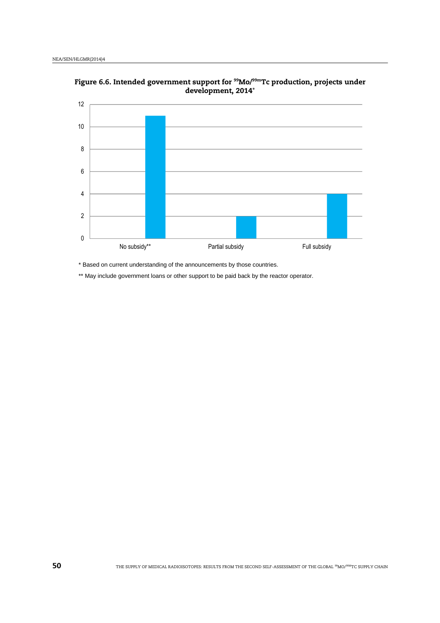

<span id="page-49-0"></span>Figure 6.6. Intended government support for <sup>99</sup>Mo/<sup>99m</sup>Tc production, projects under development, 2014\*

\* Based on current understanding of the announcements by those countries.

\*\* May include government loans or other support to be paid back by the reactor operator.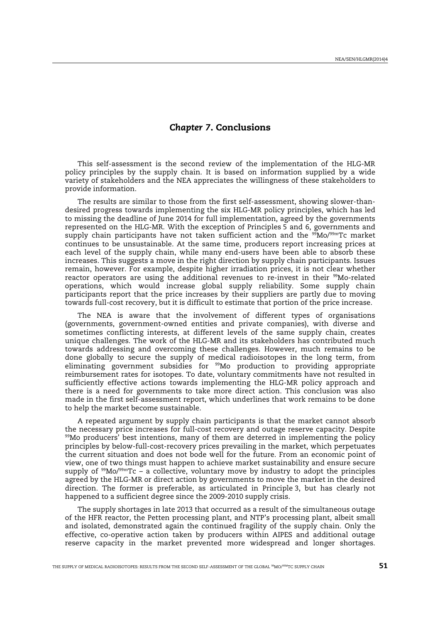# *Chapter 7*. Conclusions

<span id="page-50-0"></span>This self-assessment is the second review of the implementation of the HLG-MR policy principles by the supply chain. It is based on information supplied by a wide variety of stakeholders and the NEA appreciates the willingness of these stakeholders to provide information.

The results are similar to those from the first self-assessment, showing slower-thandesired progress towards implementing the six HLG-MR policy principles, which has led to missing the deadline of June 2014 for full implementation, agreed by the governments represented on the HLG-MR. With the exception of Principles 5 and 6, governments and supply chain participants have not taken sufficient action and the <sup>99</sup>Mo/<sup>99m</sup>Tc market continues to be unsustainable. At the same time, producers report increasing prices at each level of the supply chain, while many end-users have been able to absorb these increases. This suggests a move in the right direction by supply chain participants. Issues remain, however. For example, despite higher irradiation prices, it is not clear whether reactor operators are using the additional revenues to re-invest in their <sup>99</sup>Mo-related operations, which would increase global supply reliability. Some supply chain participants report that the price increases by their suppliers are partly due to moving towards full-cost recovery, but it is difficult to estimate that portion of the price increase.

The NEA is aware that the involvement of different types of organisations (governments, government-owned entities and private companies), with diverse and sometimes conflicting interests, at different levels of the same supply chain, creates unique challenges. The work of the HLG-MR and its stakeholders has contributed much towards addressing and overcoming these challenges. However, much remains to be done globally to secure the supply of medical radioisotopes in the long term, from eliminating government subsidies for <sup>99</sup>Mo production to providing appropriate reimbursement rates for isotopes. To date, voluntary commitments have not resulted in sufficiently effective actions towards implementing the HLG-MR policy approach and there is a need for governments to take more direct action. This conclusion was also made in the first self-assessment report, which underlines that work remains to be done to help the market become sustainable.

A repeated argument by supply chain participants is that the market cannot absorb the necessary price increases for full-cost recovery and outage reserve capacity. Despite  $99$ Mo producers' best intentions, many of them are deterred in implementing the policy principles by below-full-cost-recovery prices prevailing in the market, which perpetuates the current situation and does not bode well for the future. From an economic point of view, one of two things must happen to achieve market sustainability and ensure secure supply of  $99M_0/99mTc - a$  collective, voluntary move by industry to adopt the principles agreed by the HLG-MR or direct action by governments to move the market in the desired direction. The former is preferable, as articulated in Principle 3, but has clearly not happened to a sufficient degree since the 2009-2010 supply crisis.

The supply shortages in late 2013 that occurred as a result of the simultaneous outage of the HFR reactor, the Petten processing plant, and NTP's processing plant, albeit small and isolated, demonstrated again the continued fragility of the supply chain. Only the effective, co-operative action taken by producers within AIPES and additional outage reserve capacity in the market prevented more widespread and longer shortages.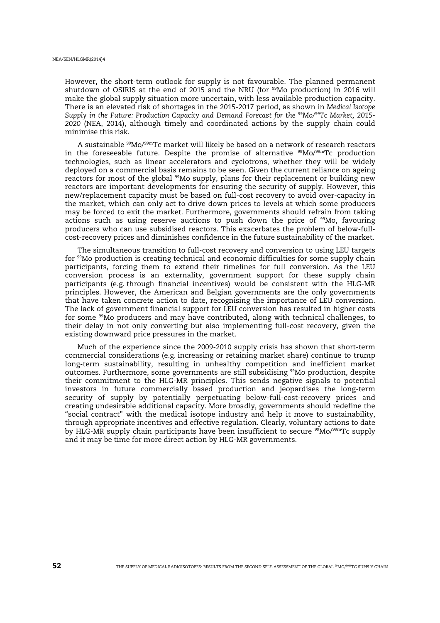However, the short-term outlook for supply is not favourable. The planned permanent shutdown of OSIRIS at the end of 2015 and the NRU (for <sup>99</sup>Mo production) in 2016 will make the global supply situation more uncertain, with less available production capacity. There is an elevated risk of shortages in the 2015-2017 period, as shown in *Medical Isotope Supply in the Future: Production Capacity and Demand Forecast for the <sup>99</sup>Mo/<sup>99</sup>Tc Market, 2015- 2020* (NEA, 2014), although timely and coordinated actions by the supply chain could minimise this risk.

A sustainable <sup>99</sup>Mo/99mTc market will likely be based on a network of research reactors in the foreseeable future. Despite the promise of alternative  $99$ Mo/ $99$ mTc production technologies, such as linear accelerators and cyclotrons, whether they will be widely deployed on a commercial basis remains to be seen. Given the current reliance on ageing reactors for most of the global <sup>99</sup>Mo supply, plans for their replacement or building new reactors are important developments for ensuring the security of supply. However, this new/replacement capacity must be based on full-cost recovery to avoid over-capacity in the market, which can only act to drive down prices to levels at which some producers may be forced to exit the market. Furthermore, governments should refrain from taking actions such as using reserve auctions to push down the price of  $99$ Mo, favouring producers who can use subsidised reactors. This exacerbates the problem of below-fullcost-recovery prices and diminishes confidence in the future sustainability of the market.

The simultaneous transition to full-cost recovery and conversion to using LEU targets for <sup>99</sup>Mo production is creating technical and economic difficulties for some supply chain participants, forcing them to extend their timelines for full conversion. As the LEU conversion process is an externality, government support for these supply chain participants (e.g. through financial incentives) would be consistent with the HLG-MR principles. However, the American and Belgian governments are the only governments that have taken concrete action to date, recognising the importance of LEU conversion. The lack of government financial support for LEU conversion has resulted in higher costs for some <sup>99</sup>Mo producers and may have contributed, along with technical challenges, to their delay in not only converting but also implementing full-cost recovery, given the existing downward price pressures in the market.

Much of the experience since the 2009-2010 supply crisis has shown that short-term commercial considerations (e.g. increasing or retaining market share) continue to trump long-term sustainability, resulting in unhealthy competition and inefficient market outcomes. Furthermore, some governments are still subsidising <sup>99</sup>Mo production, despite their commitment to the HLG-MR principles. This sends negative signals to potential investors in future commercially based production and jeopardises the long-term security of supply by potentially perpetuating below-full-cost-recovery prices and creating undesirable additional capacity. More broadly, governments should redefine the "social contract" with the medical isotope industry and help it move to sustainability, through appropriate incentives and effective regulation. Clearly, voluntary actions to date by HLG-MR supply chain participants have been insufficient to secure  $\frac{99}{90}$ Mo/ $\frac{99}{90}$ Tc supply and it may be time for more direct action by HLG-MR governments.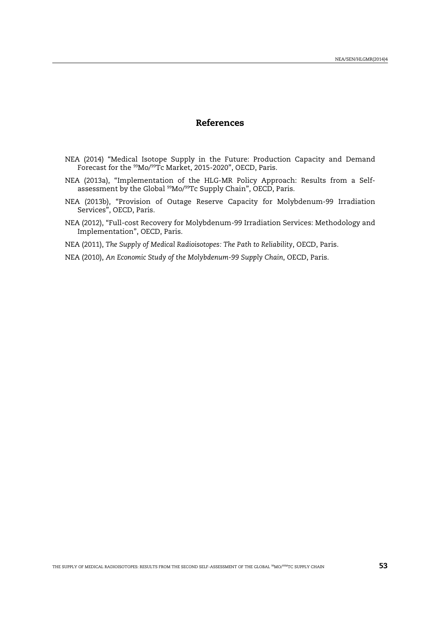## References

- <span id="page-52-0"></span>NEA (2014) "Medical Isotope Supply in the Future: Production Capacity and Demand Forecast for the <sup>99</sup>Mo/<sup>99</sup>Tc Market, 2015-2020", OECD, Paris.
- NEA (2013a), "Implementation of the HLG-MR Policy Approach: Results from a Selfassessment by the Global <sup>99</sup>Mo/<sup>99</sup>Tc Supply Chain", OECD, Paris.
- NEA (2013b), "Provision of Outage Reserve Capacity for Molybdenum-99 Irradiation Services", OECD, Paris.
- NEA (2012), "Full-cost Recovery for Molybdenum-99 Irradiation Services: Methodology and Implementation", OECD, Paris.
- NEA (2011), *The Supply of Medical Radioisotopes: The Path to Reliability*, OECD, Paris.
- NEA (2010), *An Economic Study of the Molybdenum-99 Supply Chain*, OECD, Paris.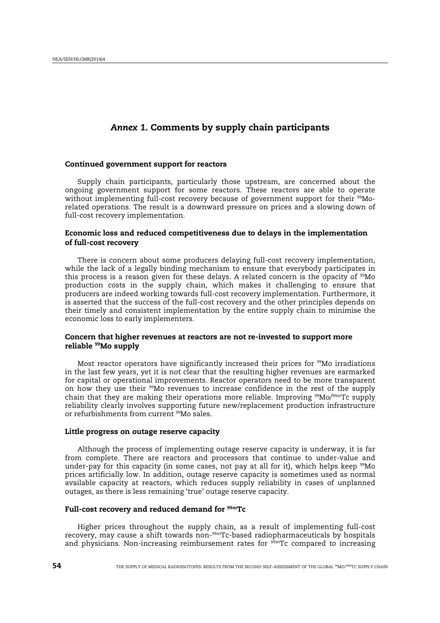# <span id="page-53-0"></span>*Annex 1.* Comments by supply chain participants

### Continued government support for reactors

Supply chain participants, particularly those upstream, are concerned about the ongoing government support for some reactors. These reactors are able to operate without implementing full-cost recovery because of government support for their  $99$ Morelated operations. The result is a downward pressure on prices and a slowing down of full-cost recovery implementation.

## Economic loss and reduced competitiveness due to delays in the implementation of full-cost recovery

There is concern about some producers delaying full-cost recovery implementation, while the lack of a legally binding mechanism to ensure that everybody participates in this process is a reason given for these delays. A related concern is the opacity of  $99M$ o production costs in the supply chain, which makes it challenging to ensure that producers are indeed working towards full-cost recovery implementation. Furthermore, it is asserted that the success of the full-cost recovery and the other principles depends on their timely and consistent implementation by the entire supply chain to minimise the economic loss to early implementers.

## Concern that higher revenues at reactors are not re-invested to support more reliable <sup>99</sup>Mo supply

Most reactor operators have significantly increased their prices for <sup>99</sup>Mo irradiations in the last few years, yet it is not clear that the resulting higher revenues are earmarked for capital or operational improvements. Reactor operators need to be more transparent on how they use their <sup>99</sup>Mo revenues to increase confidence in the rest of the supply chain that they are making their operations more reliable. Improving  $99M_0/99mTc$  supply reliability clearly involves supporting future new/replacement production infrastructure or refurbishments from current <sup>99</sup>Mo sales.

## Little progress on outage reserve capacity

Although the process of implementing outage reserve capacity is underway, it is far from complete. There are reactors and processors that continue to under-value and under-pay for this capacity (in some cases, not pay at all for it), which helps keep <sup>99</sup>Mo prices artificially low. In addition, outage reserve capacity is sometimes used as normal available capacity at reactors, which reduces supply reliability in cases of unplanned outages, as there is less remaining 'true' outage reserve capacity.

## Full-cost recovery and reduced demand for <sup>99m</sup>Tc

Higher prices throughout the supply chain, as a result of implementing full-cost recovery, may cause a shift towards non-99mTc-based radiopharmaceuticals by hospitals and physicians. Non-increasing reimbursement rates for  $\frac{99 \text{m}}{20}$  compared to increasing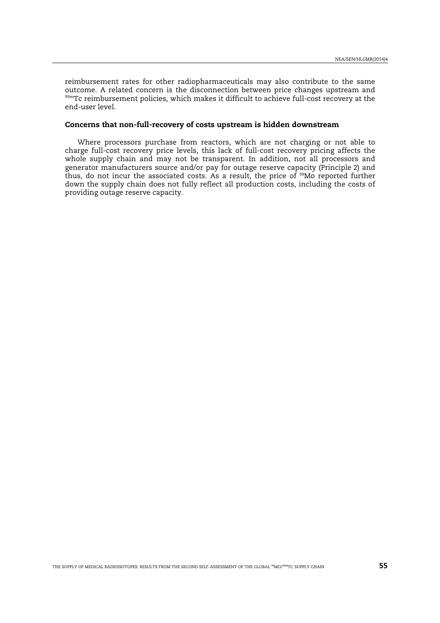reimbursement rates for other radiopharmaceuticals may also contribute to the same outcome. A related concern is the disconnection between price changes upstream and 99mTc reimbursement policies, which makes it difficult to achieve full-cost recovery at the end-user level.

## Concerns that non-full-recovery of costs upstream is hidden downstream

Where processors purchase from reactors, which are not charging or not able to charge full-cost recovery price levels, this lack of full-cost recovery pricing affects the whole supply chain and may not be transparent. In addition, not all processors and generator manufacturers source and/or pay for outage reserve capacity (Principle 2) and thus, do not incur the associated costs. As a result, the price of  $99M$ o reported further down the supply chain does not fully reflect all production costs, including the costs of providing outage reserve capacity.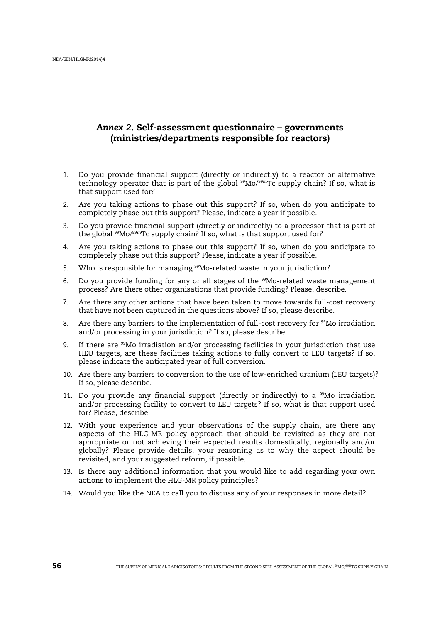# <span id="page-55-0"></span>*Annex 2*. Self-assessment questionnaire – governments (ministries/departments responsible for reactors)

- 1. Do you provide financial support (directly or indirectly) to a reactor or alternative technology operator that is part of the global <sup>99</sup>Mo/<sup>99m</sup>Tc supply chain? If so, what is that support used for?
- 2. Are you taking actions to phase out this support? If so, when do you anticipate to completely phase out this support? Please, indicate a year if possible.
- 3. Do you provide financial support (directly or indirectly) to a processor that is part of the global <sup>99</sup>Mo/99mTc supply chain? If so, what is that support used for?
- 4. Are you taking actions to phase out this support? If so, when do you anticipate to completely phase out this support? Please, indicate a year if possible.
- 5. Who is responsible for managing <sup>99</sup>Mo-related waste in your jurisdiction?
- 6. Do you provide funding for any or all stages of the <sup>99</sup>Mo-related waste management process? Are there other organisations that provide funding? Please, describe.
- 7. Are there any other actions that have been taken to move towards full-cost recovery that have not been captured in the questions above? If so, please describe.
- 8. Are there any barriers to the implementation of full-cost recovery for  $99M$ o irradiation and/or processing in your jurisdiction? If so, please describe.
- 9. If there are  $99M$ o irradiation and/or processing facilities in your jurisdiction that use HEU targets, are these facilities taking actions to fully convert to LEU targets? If so, please indicate the anticipated year of full conversion.
- 10. Are there any barriers to conversion to the use of low-enriched uranium (LEU targets)? If so, please describe.
- 11. Do you provide any financial support (directly or indirectly) to a  $99$ Mo irradiation and/or processing facility to convert to LEU targets? If so, what is that support used for? Please, describe.
- 12. With your experience and your observations of the supply chain, are there any aspects of the HLG-MR policy approach that should be revisited as they are not appropriate or not achieving their expected results domestically, regionally and/or globally? Please provide details, your reasoning as to why the aspect should be revisited, and your suggested reform, if possible.
- 13. Is there any additional information that you would like to add regarding your own actions to implement the HLG-MR policy principles?
- 14. Would you like the NEA to call you to discuss any of your responses in more detail?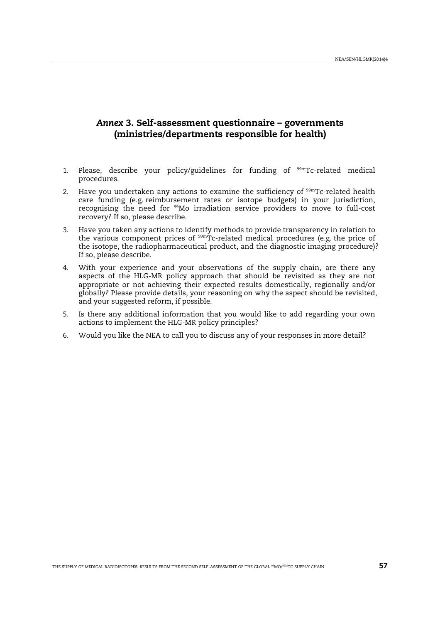# <span id="page-56-0"></span>*Annex* 3. Self-assessment questionnaire – governments (ministries/departments responsible for health)

- 1. Please, describe your policy/guidelines for funding of <sup>99m</sup>Tc-related medical procedures.
- 2. Have you undertaken any actions to examine the sufficiency of  $99mTc$ -related health care funding (e.g. reimbursement rates or isotope budgets) in your jurisdiction, recognising the need for <sup>99</sup>Mo irradiation service providers to move to full-cost recovery? If so, please describe.
- 3. Have you taken any actions to identify methods to provide transparency in relation to the various component prices of 99mTc-related medical procedures (e.g. the price of the isotope, the radiopharmaceutical product, and the diagnostic imaging procedure)? If so, please describe.
- 4. With your experience and your observations of the supply chain, are there any aspects of the HLG-MR policy approach that should be revisited as they are not appropriate or not achieving their expected results domestically, regionally and/or globally? Please provide details, your reasoning on why the aspect should be revisited, and your suggested reform, if possible.
- 5. Is there any additional information that you would like to add regarding your own actions to implement the HLG-MR policy principles?
- 6. Would you like the NEA to call you to discuss any of your responses in more detail?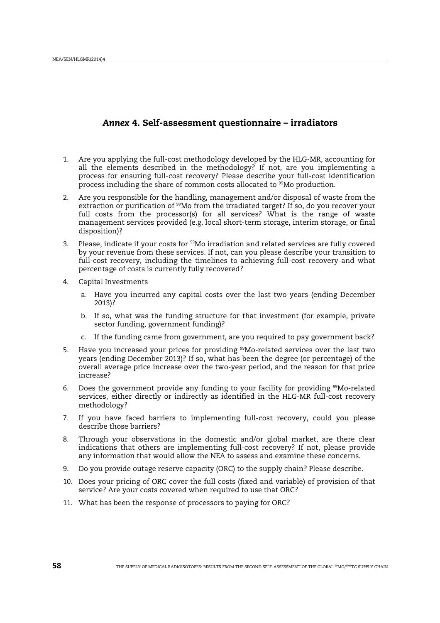# <span id="page-57-0"></span>*Annex* 4. Self-assessment questionnaire – irradiators

- 1. Are you applying the full-cost methodology developed by the HLG-MR, accounting for all the elements described in the methodology? If not, are you implementing a process for ensuring full-cost recovery? Please describe your full-cost identification process including the share of common costs allocated to <sup>99</sup>Mo production.
- 2. Are you responsible for the handling, management and/or disposal of waste from the extraction or purification of <sup>99</sup>Mo from the irradiated target? If so, do you recover your full costs from the processor(s) for all services? What is the range of waste management services provided (e.g. local short-term storage, interim storage, or final disposition)?
- 3. Please, indicate if your costs for <sup>99</sup>Mo irradiation and related services are fully covered by your revenue from these services. If not, can you please describe your transition to full-cost recovery, including the timelines to achieving full-cost recovery and what percentage of costs is currently fully recovered?
- 4. Capital Investments
	- a. Have you incurred any capital costs over the last two years (ending December 2013)?
	- b. If so, what was the funding structure for that investment (for example, private sector funding, government funding)?
	- c. If the funding came from government, are you required to pay government back?
- 5. Have you increased your prices for providing <sup>99</sup>Mo-related services over the last two years (ending December 2013)? If so, what has been the degree (or percentage) of the overall average price increase over the two-year period, and the reason for that price increase?
- 6. Does the government provide any funding to your facility for providing  $\mathcal{P}^9M$ o-related services, either directly or indirectly as identified in the HLG-MR full-cost recovery methodology?
- 7. If you have faced barriers to implementing full-cost recovery, could you please describe those barriers?
- 8. Through your observations in the domestic and/or global market, are there clear indications that others are implementing full-cost recovery? If not, please provide any information that would allow the NEA to assess and examine these concerns.
- 9. Do you provide outage reserve capacity (ORC) to the supply chain? Please describe.
- 10. Does your pricing of ORC cover the full costs (fixed and variable) of provision of that service? Are your costs covered when required to use that ORC?
- 11. What has been the response of processors to paying for ORC?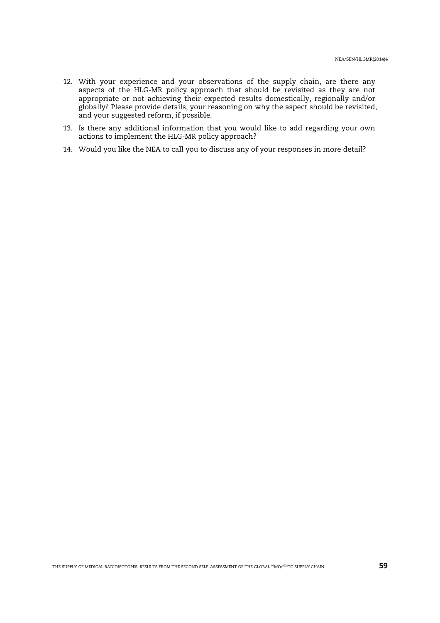- 12. With your experience and your observations of the supply chain, are there any aspects of the HLG-MR policy approach that should be revisited as they are not appropriate or not achieving their expected results domestically, regionally and/or globally? Please provide details, your reasoning on why the aspect should be revisited, and your suggested reform, if possible.
- 13. Is there any additional information that you would like to add regarding your own actions to implement the HLG-MR policy approach?
- 14. Would you like the NEA to call you to discuss any of your responses in more detail?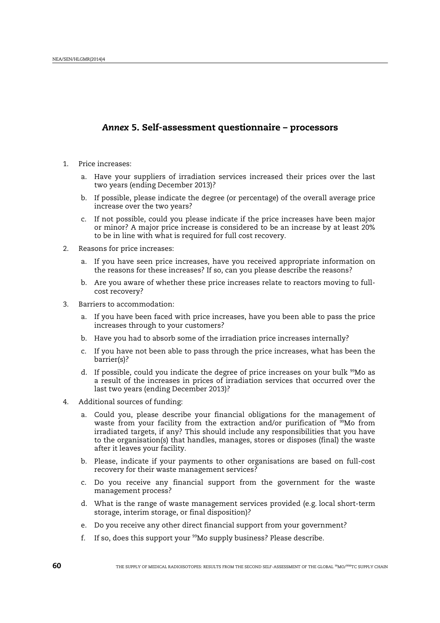# <span id="page-59-0"></span>*Annex* 5. Self-assessment questionnaire – processors

- 1. Price increases:
	- a. Have your suppliers of irradiation services increased their prices over the last two years (ending December 2013)?
	- b. If possible, please indicate the degree (or percentage) of the overall average price increase over the two years?
	- c. If not possible, could you please indicate if the price increases have been major or minor? A major price increase is considered to be an increase by at least 20% to be in line with what is required for full cost recovery.
- 2. Reasons for price increases:
	- a. If you have seen price increases, have you received appropriate information on the reasons for these increases? If so, can you please describe the reasons?
	- b. Are you aware of whether these price increases relate to reactors moving to fullcost recovery?
- 3. Barriers to accommodation:
	- a. If you have been faced with price increases, have you been able to pass the price increases through to your customers?
	- b. Have you had to absorb some of the irradiation price increases internally?
	- c. If you have not been able to pass through the price increases, what has been the barrier(s)?
	- d. If possible, could you indicate the degree of price increases on your bulk <sup>99</sup>Mo as a result of the increases in prices of irradiation services that occurred over the last two years (ending December 2013)?
- 4. Additional sources of funding:
	- a. Could you, please describe your financial obligations for the management of waste from your facility from the extraction and/or purification of  $\frac{99}{9}$ Mo from irradiated targets, if any? This should include any responsibilities that you have to the organisation(s) that handles, manages, stores or disposes (final) the waste after it leaves your facility.
	- b. Please, indicate if your payments to other organisations are based on full-cost recovery for their waste management services?
	- c. Do you receive any financial support from the government for the waste management process?
	- d. What is the range of waste management services provided (e.g. local short-term storage, interim storage, or final disposition)?
	- e. Do you receive any other direct financial support from your government?
	- f. If so, does this support your <sup>99</sup>Mo supply business? Please describe.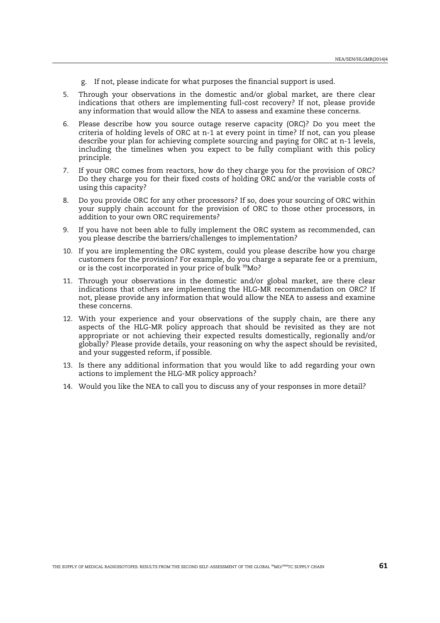- g. If not, please indicate for what purposes the financial support is used.
- 5. Through your observations in the domestic and/or global market, are there clear indications that others are implementing full-cost recovery? If not, please provide any information that would allow the NEA to assess and examine these concerns.
- 6. Please describe how you source outage reserve capacity (ORC)? Do you meet the criteria of holding levels of ORC at n-1 at every point in time? If not, can you please describe your plan for achieving complete sourcing and paying for ORC at n-1 levels, including the timelines when you expect to be fully compliant with this policy principle.
- 7. If your ORC comes from reactors, how do they charge you for the provision of ORC? Do they charge you for their fixed costs of holding ORC and/or the variable costs of using this capacity?
- 8. Do you provide ORC for any other processors? If so, does your sourcing of ORC within your supply chain account for the provision of ORC to those other processors, in addition to your own ORC requirements?
- 9. If you have not been able to fully implement the ORC system as recommended, can you please describe the barriers/challenges to implementation?
- 10. If you are implementing the ORC system, could you please describe how you charge customers for the provision? For example, do you charge a separate fee or a premium, or is the cost incorporated in your price of bulk <sup>99</sup>Mo?
- 11. Through your observations in the domestic and/or global market, are there clear indications that others are implementing the HLG-MR recommendation on ORC? If not, please provide any information that would allow the NEA to assess and examine these concerns.
- 12. With your experience and your observations of the supply chain, are there any aspects of the HLG-MR policy approach that should be revisited as they are not appropriate or not achieving their expected results domestically, regionally and/or globally? Please provide details, your reasoning on why the aspect should be revisited, and your suggested reform, if possible.
- 13. Is there any additional information that you would like to add regarding your own actions to implement the HLG-MR policy approach?
- 14. Would you like the NEA to call you to discuss any of your responses in more detail?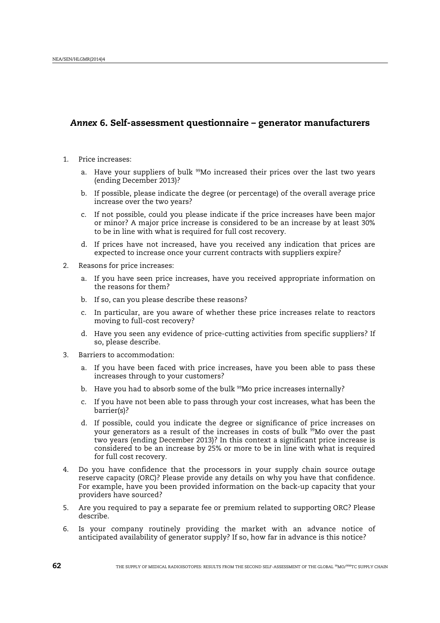# <span id="page-61-0"></span>*Annex* 6. Self-assessment questionnaire – generator manufacturers

- 1. Price increases:
	- a. Have your suppliers of bulk <sup>99</sup>Mo increased their prices over the last two years (ending December 2013)?
	- b. If possible, please indicate the degree (or percentage) of the overall average price increase over the two years?
	- c. If not possible, could you please indicate if the price increases have been major or minor? A major price increase is considered to be an increase by at least 30% to be in line with what is required for full cost recovery.
	- d. If prices have not increased, have you received any indication that prices are expected to increase once your current contracts with suppliers expire?
- 2. Reasons for price increases:
	- a. If you have seen price increases, have you received appropriate information on the reasons for them?
	- b. If so, can you please describe these reasons?
	- c. In particular, are you aware of whether these price increases relate to reactors moving to full-cost recovery?
	- d. Have you seen any evidence of price-cutting activities from specific suppliers? If so, please describe.
- 3. Barriers to accommodation:
	- a. If you have been faced with price increases, have you been able to pass these increases through to your customers?
	- b. Have you had to absorb some of the bulk <sup>99</sup>Mo price increases internally?
	- c. If you have not been able to pass through your cost increases, what has been the barrier(s)?
	- d. If possible, could you indicate the degree or significance of price increases on your generators as a result of the increases in costs of bulk <sup>99</sup>Mo over the past two years (ending December 2013)? In this context a significant price increase is considered to be an increase by 25% or more to be in line with what is required for full cost recovery.
- 4. Do you have confidence that the processors in your supply chain source outage reserve capacity (ORC)? Please provide any details on why you have that confidence. For example, have you been provided information on the back-up capacity that your providers have sourced?
- 5. Are you required to pay a separate fee or premium related to supporting ORC? Please describe.
- 6. Is your company routinely providing the market with an advance notice of anticipated availability of generator supply? If so, how far in advance is this notice?